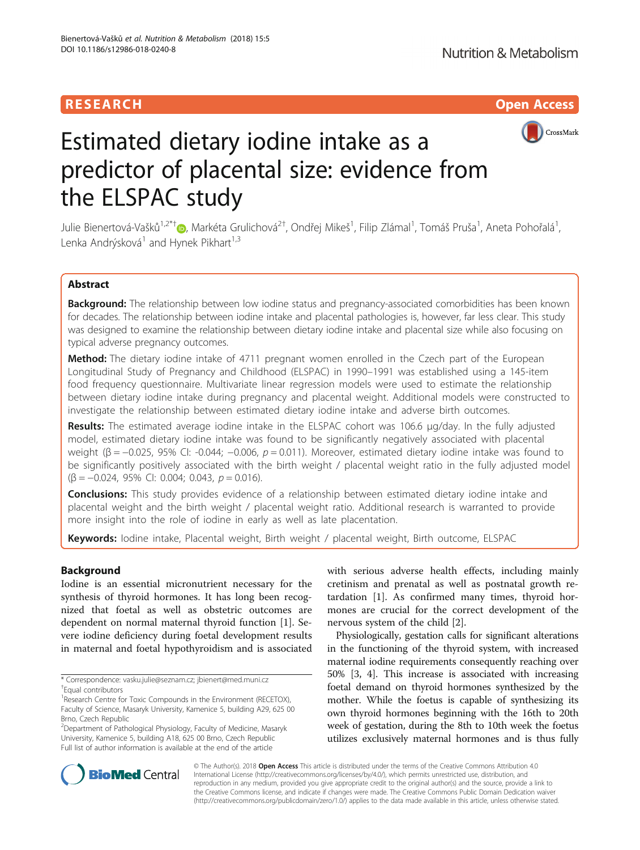# **RESEARCH CH Open Access**



# Estimated dietary iodine intake as a predictor of placental size: evidence from the ELSPAC study

Julie Bienertová-Vašků<sup>1,2\*[†](http://orcid.org/0000-0001-5327-808X)</sup>®, Markéta Grulichová<sup>2†</sup>, Ondřej Mikeš<sup>1</sup>, Filip Zlámal<sup>1</sup>, Tomáš Pruša<sup>1</sup>, Aneta Pohořalá<sup>1</sup> , Lenka Andrýsková $1$  and Hynek Pikhart $1,3$ 

# Abstract

Background: The relationship between low iodine status and pregnancy-associated comorbidities has been known for decades. The relationship between iodine intake and placental pathologies is, however, far less clear. This study was designed to examine the relationship between dietary iodine intake and placental size while also focusing on typical adverse pregnancy outcomes.

**Method:** The dietary iodine intake of 4711 pregnant women enrolled in the Czech part of the European Longitudinal Study of Pregnancy and Childhood (ELSPAC) in 1990–1991 was established using a 145-item food frequency questionnaire. Multivariate linear regression models were used to estimate the relationship between dietary iodine intake during pregnancy and placental weight. Additional models were constructed to investigate the relationship between estimated dietary iodine intake and adverse birth outcomes.

Results: The estimated average iodine intake in the ELSPAC cohort was 106.6 μg/day. In the fully adjusted model, estimated dietary iodine intake was found to be significantly negatively associated with placental weight ( $\beta$  = -0.025, 95% CI: -0.044; -0.006, p = 0.011). Moreover, estimated dietary iodine intake was found to be significantly positively associated with the birth weight / placental weight ratio in the fully adjusted model  $(\beta = -0.024, 95\% \text{ Cl: } 0.004; 0.043, p = 0.016).$ 

**Conclusions:** This study provides evidence of a relationship between estimated dietary iodine intake and placental weight and the birth weight / placental weight ratio. Additional research is warranted to provide more insight into the role of iodine in early as well as late placentation.

Keywords: Iodine intake, Placental weight, Birth weight / placental weight, Birth outcome, ELSPAC

# Background

Iodine is an essential micronutrient necessary for the synthesis of thyroid hormones. It has long been recognized that foetal as well as obstetric outcomes are dependent on normal maternal thyroid function [[1\]](#page-12-0). Severe iodine deficiency during foetal development results in maternal and foetal hypothyroidism and is associated

2 Department of Pathological Physiology, Faculty of Medicine, Masaryk University, Kamenice 5, building A18, 625 00 Brno, Czech Republic Full list of author information is available at the end of the article

with serious adverse health effects, including mainly cretinism and prenatal as well as postnatal growth retardation [\[1](#page-12-0)]. As confirmed many times, thyroid hormones are crucial for the correct development of the nervous system of the child [[2\]](#page-12-0).

Physiologically, gestation calls for significant alterations in the functioning of the thyroid system, with increased maternal iodine requirements consequently reaching over 50% [[3](#page-12-0), [4\]](#page-12-0). This increase is associated with increasing foetal demand on thyroid hormones synthesized by the mother. While the foetus is capable of synthesizing its own thyroid hormones beginning with the 16th to 20th week of gestation, during the 8th to 10th week the foetus utilizes exclusively maternal hormones and is thus fully



© The Author(s). 2018 Open Access This article is distributed under the terms of the Creative Commons Attribution 4.0 International License [\(http://creativecommons.org/licenses/by/4.0/](http://creativecommons.org/licenses/by/4.0/)), which permits unrestricted use, distribution, and reproduction in any medium, provided you give appropriate credit to the original author(s) and the source, provide a link to the Creative Commons license, and indicate if changes were made. The Creative Commons Public Domain Dedication waiver [\(http://creativecommons.org/publicdomain/zero/1.0/](http://creativecommons.org/publicdomain/zero/1.0/)) applies to the data made available in this article, unless otherwise stated.

<sup>\*</sup> Correspondence: [vasku.julie@seznam.cz](mailto:vasku.julie@seznam.cz); [jbienert@med.muni.cz](mailto:jbienert@med.muni.cz) † Equal contributors

<sup>&</sup>lt;sup>1</sup> Research Centre for Toxic Compounds in the Environment (RECETOX), Faculty of Science, Masaryk University, Kamenice 5, building A29, 625 00 Brno, Czech Republic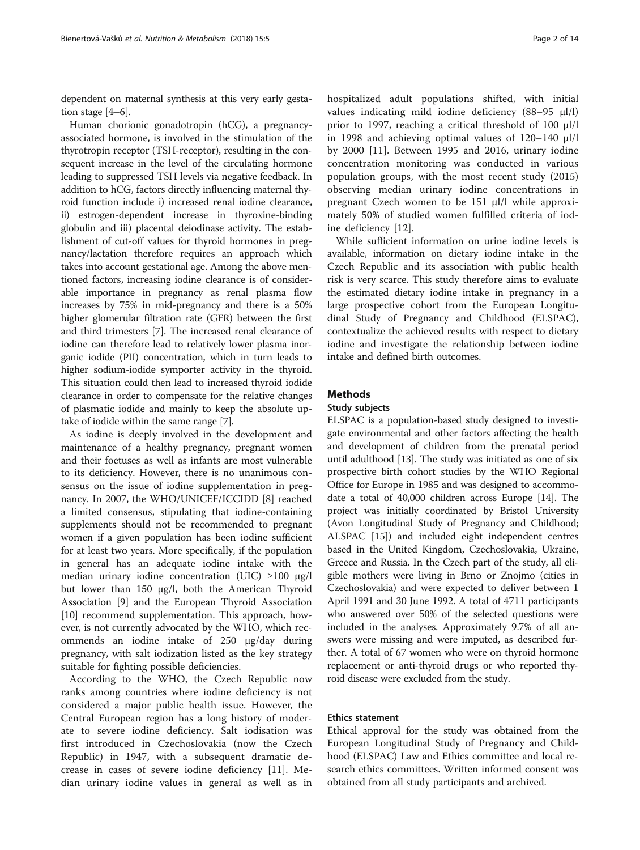dependent on maternal synthesis at this very early gestation stage [\[4](#page-12-0)–[6](#page-12-0)].

Human chorionic gonadotropin (hCG), a pregnancyassociated hormone, is involved in the stimulation of the thyrotropin receptor (TSH-receptor), resulting in the consequent increase in the level of the circulating hormone leading to suppressed TSH levels via negative feedback. In addition to hCG, factors directly influencing maternal thyroid function include i) increased renal iodine clearance, ii) estrogen-dependent increase in thyroxine-binding globulin and iii) placental deiodinase activity. The establishment of cut-off values for thyroid hormones in pregnancy/lactation therefore requires an approach which takes into account gestational age. Among the above mentioned factors, increasing iodine clearance is of considerable importance in pregnancy as renal plasma flow increases by 75% in mid-pregnancy and there is a 50% higher glomerular filtration rate (GFR) between the first and third trimesters [\[7](#page-12-0)]. The increased renal clearance of iodine can therefore lead to relatively lower plasma inorganic iodide (PII) concentration, which in turn leads to higher sodium-iodide symporter activity in the thyroid. This situation could then lead to increased thyroid iodide clearance in order to compensate for the relative changes of plasmatic iodide and mainly to keep the absolute uptake of iodide within the same range [[7](#page-12-0)].

As iodine is deeply involved in the development and maintenance of a healthy pregnancy, pregnant women and their foetuses as well as infants are most vulnerable to its deficiency. However, there is no unanimous consensus on the issue of iodine supplementation in pregnancy. In 2007, the WHO/UNICEF/ICCIDD [\[8](#page-12-0)] reached a limited consensus, stipulating that iodine-containing supplements should not be recommended to pregnant women if a given population has been iodine sufficient for at least two years. More specifically, if the population in general has an adequate iodine intake with the median urinary iodine concentration (UIC) ≥100 μg/l but lower than 150 μg/l, both the American Thyroid Association [[9\]](#page-12-0) and the European Thyroid Association [[10\]](#page-12-0) recommend supplementation. This approach, however, is not currently advocated by the WHO, which recommends an iodine intake of 250 μg/day during pregnancy, with salt iodization listed as the key strategy suitable for fighting possible deficiencies.

According to the WHO, the Czech Republic now ranks among countries where iodine deficiency is not considered a major public health issue. However, the Central European region has a long history of moderate to severe iodine deficiency. Salt iodisation was first introduced in Czechoslovakia (now the Czech Republic) in 1947, with a subsequent dramatic decrease in cases of severe iodine deficiency [[11\]](#page-12-0). Median urinary iodine values in general as well as in hospitalized adult populations shifted, with initial values indicating mild iodine deficiency (88–95 μl/l) prior to 1997, reaching a critical threshold of 100 μl/l in 1998 and achieving optimal values of 120–140 μl/l by 2000 [[11\]](#page-12-0). Between 1995 and 2016, urinary iodine concentration monitoring was conducted in various population groups, with the most recent study (2015) observing median urinary iodine concentrations in pregnant Czech women to be 151 μl/l while approximately 50% of studied women fulfilled criteria of iodine deficiency [[12\]](#page-12-0).

While sufficient information on urine iodine levels is available, information on dietary iodine intake in the Czech Republic and its association with public health risk is very scarce. This study therefore aims to evaluate the estimated dietary iodine intake in pregnancy in a large prospective cohort from the European Longitudinal Study of Pregnancy and Childhood (ELSPAC), contextualize the achieved results with respect to dietary iodine and investigate the relationship between iodine intake and defined birth outcomes.

#### **Methods**

#### Study subjects

ELSPAC is a population-based study designed to investigate environmental and other factors affecting the health and development of children from the prenatal period until adulthood [\[13\]](#page-12-0). The study was initiated as one of six prospective birth cohort studies by the WHO Regional Office for Europe in 1985 and was designed to accommodate a total of 40,000 children across Europe [\[14\]](#page-12-0). The project was initially coordinated by Bristol University (Avon Longitudinal Study of Pregnancy and Childhood; ALSPAC [[15](#page-12-0)]) and included eight independent centres based in the United Kingdom, Czechoslovakia, Ukraine, Greece and Russia. In the Czech part of the study, all eligible mothers were living in Brno or Znojmo (cities in Czechoslovakia) and were expected to deliver between 1 April 1991 and 30 June 1992. A total of 4711 participants who answered over 50% of the selected questions were included in the analyses. Approximately 9.7% of all answers were missing and were imputed, as described further. A total of 67 women who were on thyroid hormone replacement or anti-thyroid drugs or who reported thyroid disease were excluded from the study.

#### Ethics statement

Ethical approval for the study was obtained from the European Longitudinal Study of Pregnancy and Childhood (ELSPAC) Law and Ethics committee and local research ethics committees. Written informed consent was obtained from all study participants and archived.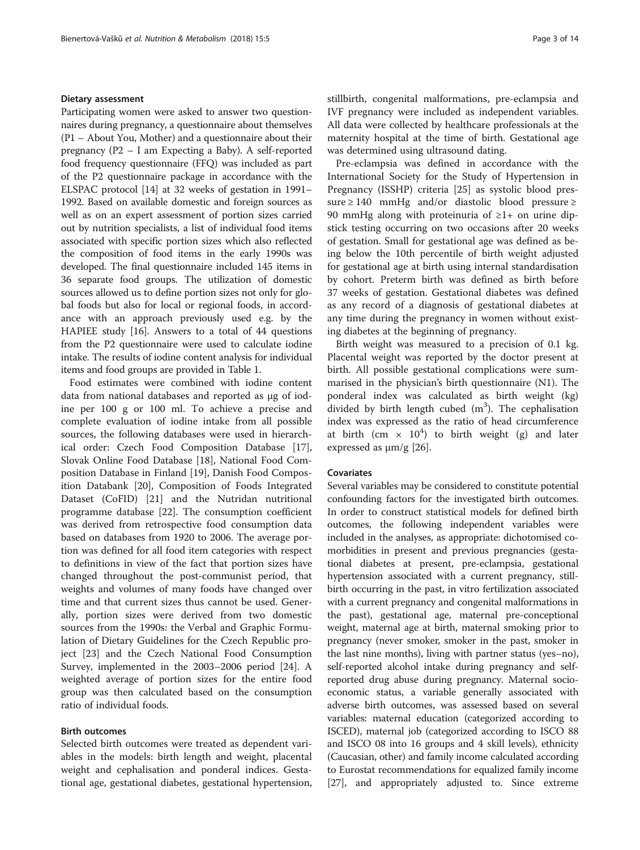#### Dietary assessment

Participating women were asked to answer two questionnaires during pregnancy, a questionnaire about themselves (P1 – About You, Mother) and a questionnaire about their pregnancy (P2 – I am Expecting a Baby). A self-reported food frequency questionnaire (FFQ) was included as part of the P2 questionnaire package in accordance with the ELSPAC protocol [[14](#page-12-0)] at 32 weeks of gestation in 1991– 1992. Based on available domestic and foreign sources as well as on an expert assessment of portion sizes carried out by nutrition specialists, a list of individual food items associated with specific portion sizes which also reflected the composition of food items in the early 1990s was developed. The final questionnaire included 145 items in 36 separate food groups. The utilization of domestic sources allowed us to define portion sizes not only for global foods but also for local or regional foods, in accordance with an approach previously used e.g. by the HAPIEE study [\[16\]](#page-12-0). Answers to a total of 44 questions from the P2 questionnaire were used to calculate iodine intake. The results of iodine content analysis for individual items and food groups are provided in Table [1](#page-3-0).

Food estimates were combined with iodine content data from national databases and reported as μg of iodine per 100 g or 100 ml. To achieve a precise and complete evaluation of iodine intake from all possible sources, the following databases were used in hierarchical order: Czech Food Composition Database [\[17](#page-12-0)], Slovak Online Food Database [[18\]](#page-12-0), National Food Composition Database in Finland [[19\]](#page-12-0), Danish Food Composition Databank [[20\]](#page-12-0), Composition of Foods Integrated Dataset (CoFID) [\[21\]](#page-12-0) and the Nutridan nutritional programme database [[22\]](#page-12-0). The consumption coefficient was derived from retrospective food consumption data based on databases from 1920 to 2006. The average portion was defined for all food item categories with respect to definitions in view of the fact that portion sizes have changed throughout the post-communist period, that weights and volumes of many foods have changed over time and that current sizes thus cannot be used. Generally, portion sizes were derived from two domestic sources from the 1990s: the Verbal and Graphic Formulation of Dietary Guidelines for the Czech Republic project [[23\]](#page-12-0) and the Czech National Food Consumption Survey, implemented in the 2003–2006 period [[24\]](#page-12-0). A weighted average of portion sizes for the entire food group was then calculated based on the consumption ratio of individual foods.

#### Birth outcomes

Selected birth outcomes were treated as dependent variables in the models: birth length and weight, placental weight and cephalisation and ponderal indices. Gestational age, gestational diabetes, gestational hypertension, stillbirth, congenital malformations, pre-eclampsia and IVF pregnancy were included as independent variables. All data were collected by healthcare professionals at the maternity hospital at the time of birth. Gestational age was determined using ultrasound dating.

Pre-eclampsia was defined in accordance with the International Society for the Study of Hypertension in Pregnancy (ISSHP) criteria [\[25](#page-12-0)] as systolic blood pressure  $\geq$  140 mmHg and/or diastolic blood pressure  $\geq$ 90 mmHg along with proteinuria of  $\geq 1+$  on urine dipstick testing occurring on two occasions after 20 weeks of gestation. Small for gestational age was defined as being below the 10th percentile of birth weight adjusted for gestational age at birth using internal standardisation by cohort. Preterm birth was defined as birth before 37 weeks of gestation. Gestational diabetes was defined as any record of a diagnosis of gestational diabetes at any time during the pregnancy in women without existing diabetes at the beginning of pregnancy.

Birth weight was measured to a precision of 0.1 kg. Placental weight was reported by the doctor present at birth. All possible gestational complications were summarised in the physician's birth questionnaire (N1). The ponderal index was calculated as birth weight (kg) divided by birth length cubed  $(m^3)$ . The cephalisation index was expressed as the ratio of head circumference at birth (cm  $\times$  10<sup>4</sup>) to birth weight (g) and later expressed as  $\mu$ m/g [\[26](#page-12-0)].

#### Covariates

Several variables may be considered to constitute potential confounding factors for the investigated birth outcomes. In order to construct statistical models for defined birth outcomes, the following independent variables were included in the analyses, as appropriate: dichotomised comorbidities in present and previous pregnancies (gestational diabetes at present, pre-eclampsia, gestational hypertension associated with a current pregnancy, stillbirth occurring in the past, in vitro fertilization associated with a current pregnancy and congenital malformations in the past), gestational age, maternal pre-conceptional weight, maternal age at birth, maternal smoking prior to pregnancy (never smoker, smoker in the past, smoker in the last nine months), living with partner status (yes–no), self-reported alcohol intake during pregnancy and selfreported drug abuse during pregnancy. Maternal socioeconomic status, a variable generally associated with adverse birth outcomes, was assessed based on several variables: maternal education (categorized according to ISCED), maternal job (categorized according to ISCO 88 and ISCO 08 into 16 groups and 4 skill levels), ethnicity (Caucasian, other) and family income calculated according to Eurostat recommendations for equalized family income [[27](#page-12-0)], and appropriately adjusted to. Since extreme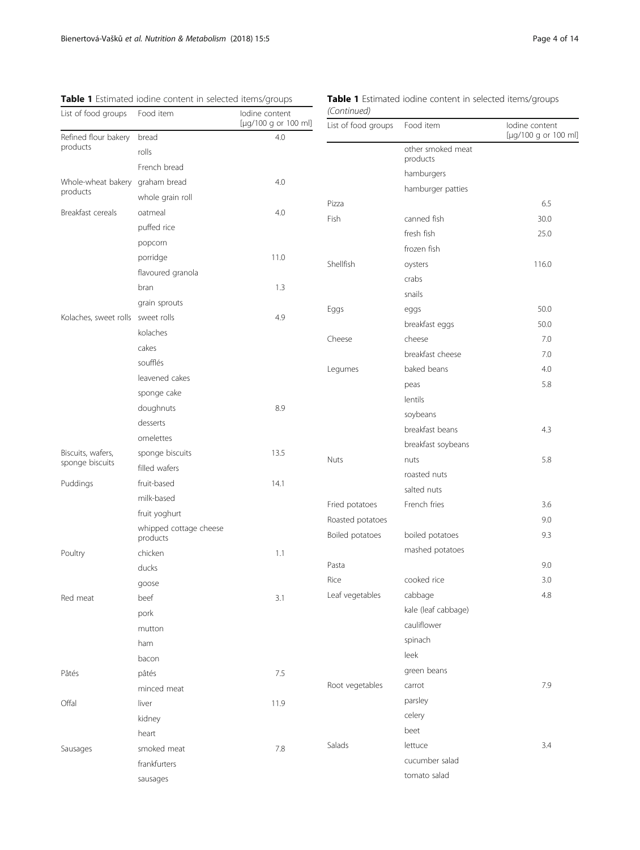frankfurters sausages

lodine content [μg/100 g or 100 ml]

<span id="page-3-0"></span>

| List of food groups               | Food item              | lodine content       | (Continued)         |                     |                                     |
|-----------------------------------|------------------------|----------------------|---------------------|---------------------|-------------------------------------|
|                                   |                        | [µg/100 g or 100 ml] | List of food groups | Food item           | lodine conter<br>[ $\mu$ g/100 g or |
| Refined flour bakery<br>products  | bread                  | 4.0                  |                     | other smoked meat   |                                     |
|                                   | rolls                  |                      |                     | products            |                                     |
|                                   | French bread           |                      |                     | hamburgers          |                                     |
| Whole-wheat bakery<br>products    | graham bread           | 4.0                  |                     | hamburger patties   |                                     |
|                                   | whole grain roll       |                      | Pizza               |                     | 6.5                                 |
| Breakfast cereals                 | oatmeal                | 4.0                  | Fish                | canned fish         | 30.0                                |
|                                   | puffed rice            |                      |                     | fresh fish          | 25.0                                |
|                                   | popcorn                |                      |                     | frozen fish         |                                     |
|                                   | porridge               | 11.0                 | Shellfish           | oysters             | 116.0                               |
|                                   | flavoured granola      |                      |                     | crabs               |                                     |
|                                   | bran                   | 1.3                  |                     | snails              |                                     |
|                                   | grain sprouts          |                      | Eggs                | eggs                | 50.0                                |
| Kolaches, sweet rolls sweet rolls |                        | 4.9                  |                     | breakfast eggs      | 50.0                                |
|                                   | kolaches               |                      | Cheese              | cheese              | 7.0                                 |
|                                   | cakes                  |                      |                     | breakfast cheese    | 7.0                                 |
|                                   | soufflés               |                      | Legumes             | baked beans         | 4.0                                 |
|                                   | leavened cakes         |                      |                     | peas                | 5.8                                 |
|                                   | sponge cake            |                      |                     | lentils             |                                     |
|                                   | doughnuts              | 8.9                  |                     | soybeans            |                                     |
|                                   | desserts               |                      |                     | breakfast beans     | 4.3                                 |
|                                   | omelettes              |                      |                     | breakfast soybeans  |                                     |
| Biscuits, wafers,                 | sponge biscuits        | 13.5                 | <b>Nuts</b>         | nuts                | 5.8                                 |
| sponge biscuits                   | filled wafers          |                      |                     | roasted nuts        |                                     |
| Puddings                          | fruit-based            | 14.1                 |                     | salted nuts         |                                     |
|                                   | milk-based             |                      | Fried potatoes      | French fries        | 3.6                                 |
|                                   | fruit yoghurt          |                      | Roasted potatoes    |                     | 9.0                                 |
|                                   | whipped cottage cheese |                      | Boiled potatoes     | boiled potatoes     | 9.3                                 |
|                                   | products               |                      |                     | mashed potatoes     |                                     |
| Poultry                           | chicken                | 1.1                  |                     |                     | 9.0                                 |
|                                   | ducks                  |                      | Pasta               |                     |                                     |
|                                   | goose                  |                      | Rice                | cooked rice         | 3.0                                 |
| Red meat                          | beef                   | 3.1                  | Leaf vegetables     | cabbage             | 4.8                                 |
|                                   | pork                   |                      |                     | kale (leaf cabbage) |                                     |
|                                   | mutton                 |                      |                     | cauliflower         |                                     |
|                                   | ham                    |                      |                     | spinach             |                                     |
|                                   | bacon                  |                      |                     | leek                |                                     |
| Pâtés                             | pâtés                  | 7.5                  |                     | green beans         |                                     |
|                                   | minced meat            |                      | Root vegetables     | carrot              | 7.9                                 |
| Offal                             | liver                  | 11.9                 |                     | parsley             |                                     |
|                                   | kidney                 |                      |                     | celery              |                                     |
|                                   | heart                  |                      |                     | beet                |                                     |
| Sausages                          | smoked meat            | $7.8\,$              | Salads              | lettuce             | 3.4                                 |

# in selected items/groups

|  | 7.9 |  |
|--|-----|--|
|  |     |  |
|  |     |  |
|  |     |  |
|  |     |  |

cucumber salad tomato salad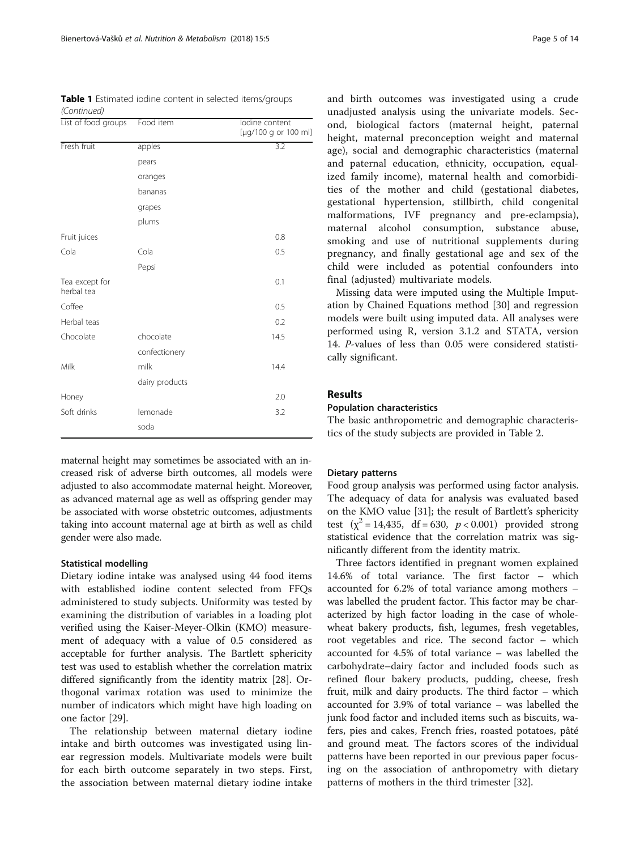|             | <b>Table 1</b> Estimated iodine content in selected items/groups |  |  |  |
|-------------|------------------------------------------------------------------|--|--|--|
| (Continued) |                                                                  |  |  |  |

| List of food groups          | Food item      | lodine content<br>[µg/100 g or 100 ml] |
|------------------------------|----------------|----------------------------------------|
| Fresh fruit                  | apples         | 3.2                                    |
|                              | pears          |                                        |
|                              | oranges        |                                        |
|                              | bananas        |                                        |
|                              | grapes         |                                        |
|                              | plums          |                                        |
| Fruit juices                 |                | 0.8                                    |
| Cola                         | Cola           | 0.5                                    |
|                              | Pepsi          |                                        |
| Tea except for<br>herbal tea |                | 0.1                                    |
| Coffee                       |                | 0.5                                    |
| Herbal teas                  |                | 0.2                                    |
| Chocolate                    | chocolate      | 14.5                                   |
|                              | confectionery  |                                        |
| Milk                         | milk           | 14.4                                   |
|                              | dairy products |                                        |
| Honey                        |                | 2.0                                    |
| Soft drinks                  | lemonade       | 3.2                                    |
|                              | soda           |                                        |
|                              |                |                                        |

maternal height may sometimes be associated with an increased risk of adverse birth outcomes, all models were adjusted to also accommodate maternal height. Moreover, as advanced maternal age as well as offspring gender may be associated with worse obstetric outcomes, adjustments taking into account maternal age at birth as well as child gender were also made.

#### Statistical modelling

Dietary iodine intake was analysed using 44 food items with established iodine content selected from FFQs administered to study subjects. Uniformity was tested by examining the distribution of variables in a loading plot verified using the Kaiser-Meyer-Olkin (KMO) measurement of adequacy with a value of 0.5 considered as acceptable for further analysis. The Bartlett sphericity test was used to establish whether the correlation matrix differed significantly from the identity matrix [\[28](#page-12-0)]. Orthogonal varimax rotation was used to minimize the number of indicators which might have high loading on one factor [\[29](#page-12-0)].

The relationship between maternal dietary iodine intake and birth outcomes was investigated using linear regression models. Multivariate models were built for each birth outcome separately in two steps. First, the association between maternal dietary iodine intake and birth outcomes was investigated using a crude unadjusted analysis using the univariate models. Second, biological factors (maternal height, paternal height, maternal preconception weight and maternal age), social and demographic characteristics (maternal and paternal education, ethnicity, occupation, equalized family income), maternal health and comorbidities of the mother and child (gestational diabetes, gestational hypertension, stillbirth, child congenital malformations, IVF pregnancy and pre-eclampsia), maternal alcohol consumption, substance abuse, smoking and use of nutritional supplements during pregnancy, and finally gestational age and sex of the child were included as potential confounders into final (adjusted) multivariate models.

Missing data were imputed using the Multiple Imputation by Chained Equations method [[30\]](#page-12-0) and regression models were built using imputed data. All analyses were performed using R, version 3.1.2 and STATA, version 14. P-values of less than 0.05 were considered statistically significant.

### Results

#### Population characteristics

The basic anthropometric and demographic characteristics of the study subjects are provided in Table [2.](#page-5-0)

#### Dietary patterns

Food group analysis was performed using factor analysis. The adequacy of data for analysis was evaluated based on the KMO value [[31](#page-12-0)]; the result of Bartlett's sphericity test  $(\chi^2 = 14,435, df = 630, p < 0.001)$  provided strong statistical evidence that the correlation matrix was significantly different from the identity matrix.

Three factors identified in pregnant women explained 14.6% of total variance. The first factor – which accounted for 6.2% of total variance among mothers – was labelled the prudent factor. This factor may be characterized by high factor loading in the case of wholewheat bakery products, fish, legumes, fresh vegetables, root vegetables and rice. The second factor – which accounted for 4.5% of total variance – was labelled the carbohydrate–dairy factor and included foods such as refined flour bakery products, pudding, cheese, fresh fruit, milk and dairy products. The third factor – which accounted for 3.9% of total variance – was labelled the junk food factor and included items such as biscuits, wafers, pies and cakes, French fries, roasted potatoes, pâté and ground meat. The factors scores of the individual patterns have been reported in our previous paper focusing on the association of anthropometry with dietary patterns of mothers in the third trimester [\[32\]](#page-12-0).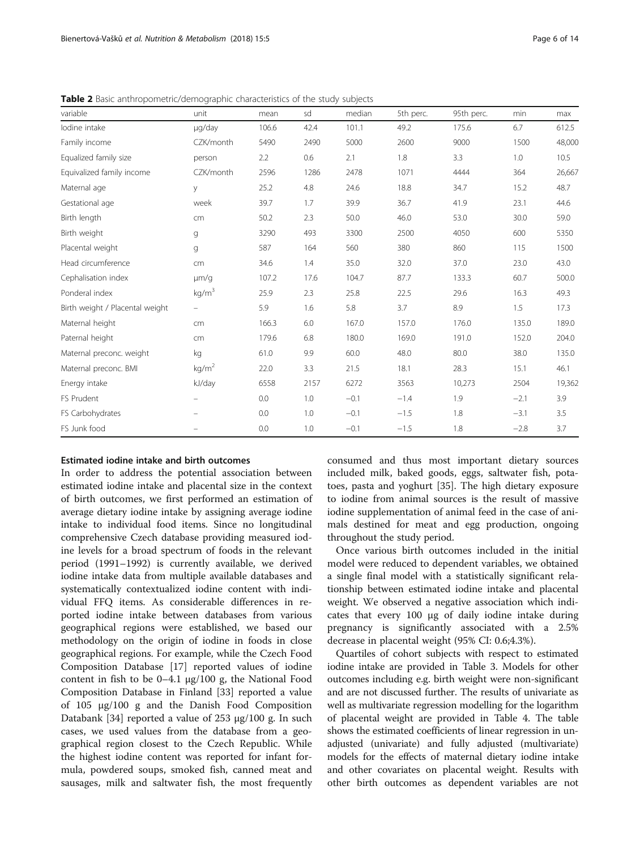| variable                        | unit              | mean  | sd   | median | 5th perc. | 95th perc. | min    | max    |
|---------------------------------|-------------------|-------|------|--------|-----------|------------|--------|--------|
| lodine intake                   | µg/day            | 106.6 | 42.4 | 101.1  | 49.2      | 175.6      | 6.7    | 612.5  |
| Family income                   | CZK/month         | 5490  | 2490 | 5000   | 2600      | 9000       | 1500   | 48,000 |
| Equalized family size           | person            | 2.2   | 0.6  | 2.1    | 1.8       | 3.3        | 1.0    | 10.5   |
| Equivalized family income       | CZK/month         | 2596  | 1286 | 2478   | 1071      | 4444       | 364    | 26,667 |
| Maternal age                    | y                 | 25.2  | 4.8  | 24.6   | 18.8      | 34.7       | 15.2   | 48.7   |
| Gestational age                 | week              | 39.7  | 1.7  | 39.9   | 36.7      | 41.9       | 23.1   | 44.6   |
| Birth length                    | cm                | 50.2  | 2.3  | 50.0   | 46.0      | 53.0       | 30.0   | 59.0   |
| Birth weight                    | q                 | 3290  | 493  | 3300   | 2500      | 4050       | 600    | 5350   |
| Placental weight                | g                 | 587   | 164  | 560    | 380       | 860        | 115    | 1500   |
| Head circumference              | cm                | 34.6  | 1.4  | 35.0   | 32.0      | 37.0       | 23.0   | 43.0   |
| Cephalisation index             | $\mu$ m/q         | 107.2 | 17.6 | 104.7  | 87.7      | 133.3      | 60.7   | 500.0  |
| Ponderal index                  | kg/m <sup>3</sup> | 25.9  | 2.3  | 25.8   | 22.5      | 29.6       | 16.3   | 49.3   |
| Birth weight / Placental weight |                   | 5.9   | 1.6  | 5.8    | 3.7       | 8.9        | 1.5    | 17.3   |
| Maternal height                 | cm                | 166.3 | 6.0  | 167.0  | 157.0     | 176.0      | 135.0  | 189.0  |
| Paternal height                 | cm                | 179.6 | 6.8  | 180.0  | 169.0     | 191.0      | 152.0  | 204.0  |
| Maternal preconc. weight        | kg                | 61.0  | 9.9  | 60.0   | 48.0      | 80.0       | 38.0   | 135.0  |
| Maternal preconc. BMI           | kg/m <sup>2</sup> | 22.0  | 3.3  | 21.5   | 18.1      | 28.3       | 15.1   | 46.1   |
| Energy intake                   | kJ/day            | 6558  | 2157 | 6272   | 3563      | 10,273     | 2504   | 19,362 |
| FS Prudent                      |                   | 0.0   | 1.0  | $-0.1$ | $-1.4$    | 1.9        | $-2.1$ | 3.9    |
| FS Carbohydrates                |                   | 0.0   | 1.0  | $-0.1$ | $-1.5$    | 1.8        | $-3.1$ | 3.5    |
| FS Junk food                    |                   | 0.0   | 1.0  | $-0.1$ | $-1.5$    | 1.8        | $-2.8$ | 3.7    |

<span id="page-5-0"></span>Table 2 Basic anthropometric/demographic characteristics of the study subjects

#### Estimated iodine intake and birth outcomes

In order to address the potential association between estimated iodine intake and placental size in the context of birth outcomes, we first performed an estimation of average dietary iodine intake by assigning average iodine intake to individual food items. Since no longitudinal comprehensive Czech database providing measured iodine levels for a broad spectrum of foods in the relevant period (1991–1992) is currently available, we derived iodine intake data from multiple available databases and systematically contextualized iodine content with individual FFQ items. As considerable differences in reported iodine intake between databases from various geographical regions were established, we based our methodology on the origin of iodine in foods in close geographical regions. For example, while the Czech Food Composition Database [\[17](#page-12-0)] reported values of iodine content in fish to be 0–4.1 μg/100 g, the National Food Composition Database in Finland [[33\]](#page-12-0) reported a value of 105 μg/100 g and the Danish Food Composition Databank [\[34\]](#page-12-0) reported a value of 253 μg/100 g. In such cases, we used values from the database from a geographical region closest to the Czech Republic. While the highest iodine content was reported for infant formula, powdered soups, smoked fish, canned meat and sausages, milk and saltwater fish, the most frequently consumed and thus most important dietary sources included milk, baked goods, eggs, saltwater fish, potatoes, pasta and yoghurt [[35\]](#page-12-0). The high dietary exposure to iodine from animal sources is the result of massive iodine supplementation of animal feed in the case of animals destined for meat and egg production, ongoing throughout the study period.

Once various birth outcomes included in the initial model were reduced to dependent variables, we obtained a single final model with a statistically significant relationship between estimated iodine intake and placental weight. We observed a negative association which indicates that every 100 μg of daily iodine intake during pregnancy is significantly associated with a 2.5% decrease in placental weight (95% CI: 0.6;4.3%).

Quartiles of cohort subjects with respect to estimated iodine intake are provided in Table [3](#page-6-0). Models for other outcomes including e.g. birth weight were non-significant and are not discussed further. The results of univariate as well as multivariate regression modelling for the logarithm of placental weight are provided in Table [4](#page-7-0). The table shows the estimated coefficients of linear regression in unadjusted (univariate) and fully adjusted (multivariate) models for the effects of maternal dietary iodine intake and other covariates on placental weight. Results with other birth outcomes as dependent variables are not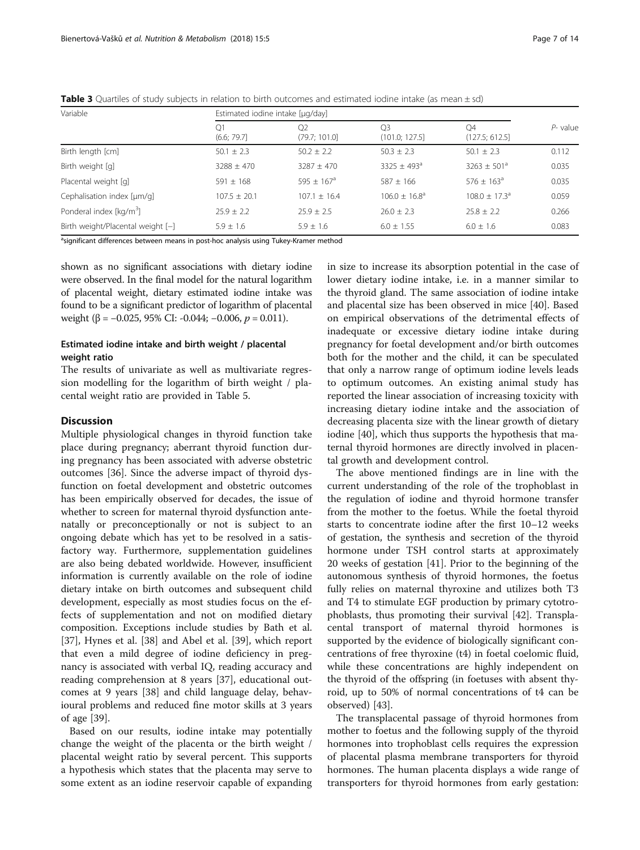| Variable                            | Estimated iodine intake [µq/day] |                                 |                                  |                        |            |  |  |
|-------------------------------------|----------------------------------|---------------------------------|----------------------------------|------------------------|------------|--|--|
|                                     | O <sub>1</sub><br>(6.6; 79.7]    | O <sub>2</sub><br>(79.7; 101.0] | O <sub>3</sub><br>(101.0; 127.5] | O4<br>(127.5; 612.5)   | $P-$ value |  |  |
| Birth length [cm]                   | $50.1 \pm 2.3$                   | $50.2 + 2.2$                    | $50.3 \pm 2.3$                   | $50.1 \pm 2.3$         | 0.112      |  |  |
| Birth weight [q]                    | $3288 \pm 470$                   | $3287 + 470$                    | 3325 ± 493 <sup>a</sup>          | $3263 \pm 501^a$       | 0.035      |  |  |
| Placental weight [g]                | $591 + 168$                      | 595 ± $167^a$                   | $587 \pm 166$                    | $576 \pm 163^{\circ}$  | 0.035      |  |  |
| Cephalisation index [µm/q]          | $107.5 + 20.1$                   | $107.1 + 16.4$                  | $106.0 + 16.8^{\circ}$           | $108.0 + 17.3^{\circ}$ | 0.059      |  |  |
| Ponderal index [kg/m <sup>3</sup> ] | $25.9 + 2.2$                     | $25.9 + 2.5$                    | $26.0 + 2.3$                     | $25.8 + 2.2$           | 0.266      |  |  |
| Birth weight/Placental weight [-]   | $5.9 \pm 1.6$                    | $5.9 \pm 1.6$                   | $6.0 \pm 1.55$                   | $6.0 \pm 1.6$          | 0.083      |  |  |

<span id="page-6-0"></span>**Table 3** Quartiles of study subjects in relation to birth outcomes and estimated iodine intake (as mean  $\pm$  sd)

<sup>a</sup>significant differences between means in post-hoc analysis using Tukey-Kramer method

shown as no significant associations with dietary iodine were observed. In the final model for the natural logarithm of placental weight, dietary estimated iodine intake was found to be a significant predictor of logarithm of placental weight (β =  $-0.025$ , 95% CI:  $-0.044$ ;  $-0.006$ ,  $p = 0.011$ ).

## Estimated iodine intake and birth weight / placental weight ratio

The results of univariate as well as multivariate regression modelling for the logarithm of birth weight / placental weight ratio are provided in Table [5.](#page-9-0)

#### **Discussion**

Multiple physiological changes in thyroid function take place during pregnancy; aberrant thyroid function during pregnancy has been associated with adverse obstetric outcomes [[36\]](#page-12-0). Since the adverse impact of thyroid dysfunction on foetal development and obstetric outcomes has been empirically observed for decades, the issue of whether to screen for maternal thyroid dysfunction antenatally or preconceptionally or not is subject to an ongoing debate which has yet to be resolved in a satisfactory way. Furthermore, supplementation guidelines are also being debated worldwide. However, insufficient information is currently available on the role of iodine dietary intake on birth outcomes and subsequent child development, especially as most studies focus on the effects of supplementation and not on modified dietary composition. Exceptions include studies by Bath et al. [[37\]](#page-12-0), Hynes et al. [\[38](#page-12-0)] and Abel et al. [[39\]](#page-12-0), which report that even a mild degree of iodine deficiency in pregnancy is associated with verbal IQ, reading accuracy and reading comprehension at 8 years [\[37](#page-12-0)], educational outcomes at 9 years [\[38](#page-12-0)] and child language delay, behavioural problems and reduced fine motor skills at 3 years of age [\[39](#page-12-0)].

Based on our results, iodine intake may potentially change the weight of the placenta or the birth weight / placental weight ratio by several percent. This supports a hypothesis which states that the placenta may serve to some extent as an iodine reservoir capable of expanding in size to increase its absorption potential in the case of lower dietary iodine intake, i.e. in a manner similar to the thyroid gland. The same association of iodine intake and placental size has been observed in mice [\[40](#page-12-0)]. Based on empirical observations of the detrimental effects of inadequate or excessive dietary iodine intake during pregnancy for foetal development and/or birth outcomes both for the mother and the child, it can be speculated that only a narrow range of optimum iodine levels leads to optimum outcomes. An existing animal study has reported the linear association of increasing toxicity with increasing dietary iodine intake and the association of decreasing placenta size with the linear growth of dietary iodine [\[40](#page-12-0)], which thus supports the hypothesis that maternal thyroid hormones are directly involved in placental growth and development control.

The above mentioned findings are in line with the current understanding of the role of the trophoblast in the regulation of iodine and thyroid hormone transfer from the mother to the foetus. While the foetal thyroid starts to concentrate iodine after the first 10–12 weeks of gestation, the synthesis and secretion of the thyroid hormone under TSH control starts at approximately 20 weeks of gestation [\[41](#page-12-0)]. Prior to the beginning of the autonomous synthesis of thyroid hormones, the foetus fully relies on maternal thyroxine and utilizes both T3 and T4 to stimulate EGF production by primary cytotrophoblasts, thus promoting their survival [[42\]](#page-12-0). Transplacental transport of maternal thyroid hormones is supported by the evidence of biologically significant concentrations of free thyroxine (t4) in foetal coelomic fluid, while these concentrations are highly independent on the thyroid of the offspring (in foetuses with absent thyroid, up to 50% of normal concentrations of t4 can be observed) [[43](#page-12-0)].

The transplacental passage of thyroid hormones from mother to foetus and the following supply of the thyroid hormones into trophoblast cells requires the expression of placental plasma membrane transporters for thyroid hormones. The human placenta displays a wide range of transporters for thyroid hormones from early gestation: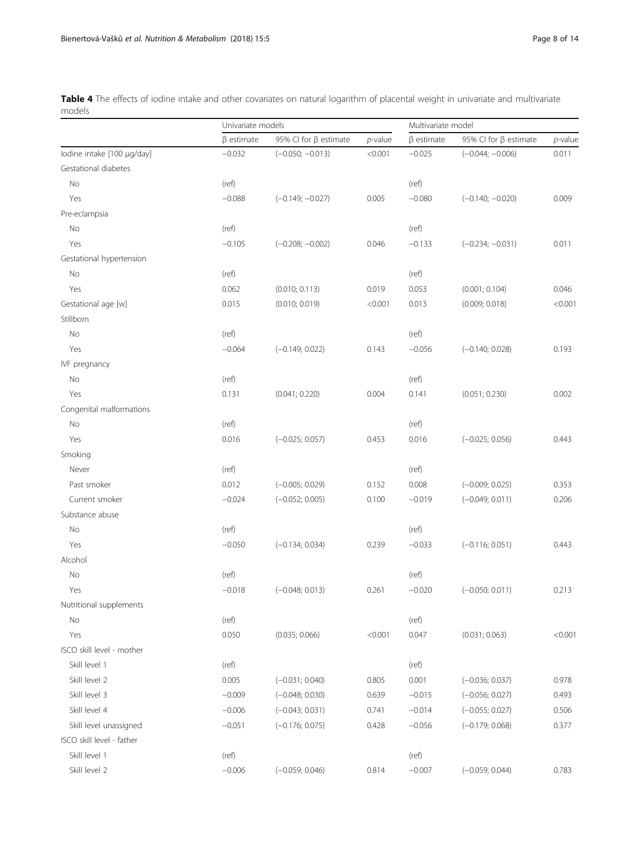<span id="page-7-0"></span>Table 4 The effects of iodine intake and other covariates on natural logarithm of placental weight in univariate and multivariate models

|                            |                  | Univariate models           |            | Multivariate model |                             |            |
|----------------------------|------------------|-----------------------------|------------|--------------------|-----------------------------|------------|
|                            | $\beta$ estimate | 95% CI for $\beta$ estimate | $p$ -value | $\beta$ estimate   | 95% CI for $\beta$ estimate | $p$ -value |
| lodine intake [100 µg/day] | $-0.032$         | $(-0.050; -0.013)$          | < 0.001    | $-0.025$           | $(-0.044; -0.006)$          | 0.011      |
| Gestational diabetes       |                  |                             |            |                    |                             |            |
| No                         | (ref)            |                             |            | (ref)              |                             |            |
| Yes                        | $-0.088$         | $(-0.149; -0.027)$          | 0.005      | $-0.080$           | $(-0.140; -0.020)$          | 0.009      |
| Pre-eclampsia              |                  |                             |            |                    |                             |            |
| No                         | (ref)            |                             |            | (ref)              |                             |            |
| Yes                        | $-0.105$         | $(-0.208; -0.002)$          | 0.046      | $-0.133$           | $(-0.234; -0.031)$          | 0.011      |
| Gestational hypertension   |                  |                             |            |                    |                             |            |
| No                         | (ref)            |                             |            | (ref)              |                             |            |
| Yes                        | 0.062            | (0.010; 0.113)              | 0.019      | 0.053              | (0.001; 0.104)              | 0.046      |
| Gestational age [w]        | 0.015            | (0.010; 0.019)              | < 0.001    | 0.013              | (0.009; 0.018)              | < 0.001    |
| Stillborn                  |                  |                             |            |                    |                             |            |
| No                         | (ref)            |                             |            | (ref)              |                             |            |
| Yes                        | $-0.064$         | $(-0.149; 0.022)$           | 0.143      | $-0.056$           | $(-0.140; 0.028)$           | 0.193      |
| IVF pregnancy              |                  |                             |            |                    |                             |            |
| No                         | (ref)            |                             |            | (ref)              |                             |            |
| Yes                        | 0.131            | (0.041; 0.220)              | 0.004      | 0.141              | (0.051; 0.230)              | 0.002      |
| Congenital malformations   |                  |                             |            |                    |                             |            |
| No                         | (ref)            |                             |            | (ref)              |                             |            |
| Yes                        | 0.016            | $(-0.025; 0.057)$           | 0.453      | 0.016              | $(-0.025; 0.056)$           | 0.443      |
| Smoking                    |                  |                             |            |                    |                             |            |
| Never                      | (ref)            |                             |            | (ref)              |                             |            |
| Past smoker                | 0.012            | $(-0.005; 0.029)$           | 0.152      | 0.008              | $(-0.009; 0.025)$           | 0.353      |
| Current smoker             | $-0.024$         | $(-0.052; 0.005)$           | 0.100      | $-0.019$           | $(-0.049; 0.011)$           | 0.206      |
| Substance abuse            |                  |                             |            |                    |                             |            |
| No                         | (ref)            |                             |            | (ref)              |                             |            |
| Yes                        | $-0.050$         | $(-0.134; 0.034)$           | 0.239      | $-0.033$           | $(-0.116; 0.051)$           | 0.443      |
| Alcohol                    |                  |                             |            |                    |                             |            |
| No                         | (ref)            |                             |            | (ref)              |                             |            |
| Yes                        | $-0.018$         | $(-0.048; 0.013)$           | 0.261      | $-0.020$           | $(-0.050; 0.011)$           | 0.213      |
| Nutritional supplements    |                  |                             |            |                    |                             |            |
| No                         | (ref)            |                             |            | (ref)              |                             |            |
| Yes                        | 0.050            | (0.035; 0.066)              | < 0.001    | 0.047              | (0.031; 0.063)              | < 0.001    |
| ISCO skill level - mother  |                  |                             |            |                    |                             |            |
| Skill level 1              | (ref)            |                             |            | (ref)              |                             |            |
| Skill level 2              | 0.005            | $(-0.031; 0.040)$           | 0.805      | 0.001              | $(-0.036; 0.037)$           | 0.978      |
| Skill level 3              | $-0.009$         | $(-0.048; 0.030)$           | 0.639      | $-0.015$           | $(-0.056; 0.027)$           | 0.493      |
| Skill level 4              | $-0.006$         | $(-0.043; 0.031)$           | 0.741      | $-0.014$           | $(-0.055; 0.027)$           | 0.506      |
| Skill level unassigned     | $-0.051$         | $(-0.176; 0.075)$           | 0.428      | $-0.056$           | $(-0.179; 0.068)$           | 0.377      |
| ISCO skill level - father  |                  |                             |            |                    |                             |            |
| Skill level 1              | (ref)            |                             |            | (ref)              |                             |            |
| Skill level 2              | $-0.006$         | $(-0.059; 0.046)$           | 0.814      | $-0.007$           | $(-0.059; 0.044)$           | 0.783      |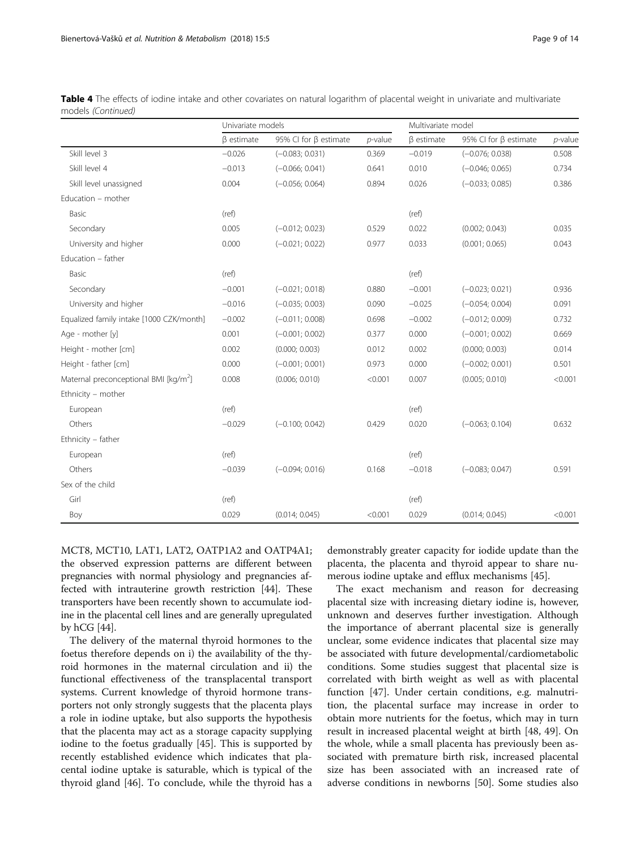|                                                   | Univariate models |                             |            | Multivariate model |                             |            |  |
|---------------------------------------------------|-------------------|-----------------------------|------------|--------------------|-----------------------------|------------|--|
|                                                   | $\beta$ estimate  | 95% CI for $\beta$ estimate | $p$ -value | $\beta$ estimate   | 95% CI for $\beta$ estimate | $p$ -value |  |
| Skill level 3                                     | $-0.026$          | $(-0.083; 0.031)$           | 0.369      | $-0.019$           | $(-0.076; 0.038)$           | 0.508      |  |
| Skill level 4                                     | $-0.013$          | $(-0.066; 0.041)$           | 0.641      | 0.010              | $(-0.046; 0.065)$           | 0.734      |  |
| Skill level unassigned                            | 0.004             | $(-0.056; 0.064)$           | 0.894      | 0.026              | $(-0.033; 0.085)$           | 0.386      |  |
| Education - mother                                |                   |                             |            |                    |                             |            |  |
| Basic                                             | (ref)             |                             |            | (ref)              |                             |            |  |
| Secondary                                         | 0.005             | $(-0.012; 0.023)$           | 0.529      | 0.022              | (0.002; 0.043)              | 0.035      |  |
| University and higher                             | 0.000             | $(-0.021; 0.022)$           | 0.977      | 0.033              | (0.001; 0.065)              | 0.043      |  |
| Education - father                                |                   |                             |            |                    |                             |            |  |
| Basic                                             | (ref)             |                             |            | (ref)              |                             |            |  |
| Secondary                                         | $-0.001$          | $(-0.021; 0.018)$           | 0.880      | $-0.001$           | $(-0.023; 0.021)$           | 0.936      |  |
| University and higher                             | $-0.016$          | $(-0.035; 0.003)$           | 0.090      | $-0.025$           | $(-0.054; 0.004)$           | 0.091      |  |
| Equalized family intake [1000 CZK/month]          | $-0.002$          | $(-0.011; 0.008)$           | 0.698      | $-0.002$           | $(-0.012; 0.009)$           | 0.732      |  |
| Age - mother [y]                                  | 0.001             | $(-0.001; 0.002)$           | 0.377      | 0.000              | $(-0.001; 0.002)$           | 0.669      |  |
| Height - mother [cm]                              | 0.002             | (0.000; 0.003)              | 0.012      | 0.002              | (0.000; 0.003)              | 0.014      |  |
| Height - father [cm]                              | 0.000             | $(-0.001; 0.001)$           | 0.973      | 0.000              | $(-0.002; 0.001)$           | 0.501      |  |
| Maternal preconceptional BMI [kg/m <sup>2</sup> ] | 0.008             | (0.006; 0.010)              | < 0.001    | 0.007              | (0.005; 0.010)              | < 0.001    |  |
| Ethnicity - mother                                |                   |                             |            |                    |                             |            |  |
| European                                          | (ref)             |                             |            | (ref)              |                             |            |  |
| Others                                            | $-0.029$          | $(-0.100; 0.042)$           | 0.429      | 0.020              | $(-0.063; 0.104)$           | 0.632      |  |
| Ethnicity - father                                |                   |                             |            |                    |                             |            |  |
| European                                          | (ref)             |                             |            | (ref)              |                             |            |  |
| Others                                            | $-0.039$          | $(-0.094; 0.016)$           | 0.168      | $-0.018$           | $(-0.083; 0.047)$           | 0.591      |  |
| Sex of the child                                  |                   |                             |            |                    |                             |            |  |
| Girl                                              | (ref)             |                             |            | (ref)              |                             |            |  |
| Boy                                               | 0.029             | (0.014; 0.045)              | < 0.001    | 0.029              | (0.014; 0.045)              | < 0.001    |  |

Table 4 The effects of iodine intake and other covariates on natural logarithm of placental weight in univariate and multivariate models (Continued)

MCT8, MCT10, LAT1, LAT2, OATP1A2 and OATP4A1; the observed expression patterns are different between pregnancies with normal physiology and pregnancies affected with intrauterine growth restriction [\[44\]](#page-12-0). These transporters have been recently shown to accumulate iodine in the placental cell lines and are generally upregulated by hCG [\[44](#page-12-0)].

The delivery of the maternal thyroid hormones to the foetus therefore depends on i) the availability of the thyroid hormones in the maternal circulation and ii) the functional effectiveness of the transplacental transport systems. Current knowledge of thyroid hormone transporters not only strongly suggests that the placenta plays a role in iodine uptake, but also supports the hypothesis that the placenta may act as a storage capacity supplying iodine to the foetus gradually [\[45\]](#page-13-0). This is supported by recently established evidence which indicates that placental iodine uptake is saturable, which is typical of the thyroid gland [[46](#page-13-0)]. To conclude, while the thyroid has a

demonstrably greater capacity for iodide update than the placenta, the placenta and thyroid appear to share numerous iodine uptake and efflux mechanisms [\[45\]](#page-13-0).

The exact mechanism and reason for decreasing placental size with increasing dietary iodine is, however, unknown and deserves further investigation. Although the importance of aberrant placental size is generally unclear, some evidence indicates that placental size may be associated with future developmental/cardiometabolic conditions. Some studies suggest that placental size is correlated with birth weight as well as with placental function [\[47\]](#page-13-0). Under certain conditions, e.g. malnutrition, the placental surface may increase in order to obtain more nutrients for the foetus, which may in turn result in increased placental weight at birth [[48](#page-13-0), [49\]](#page-13-0). On the whole, while a small placenta has previously been associated with premature birth risk, increased placental size has been associated with an increased rate of adverse conditions in newborns [[50\]](#page-13-0). Some studies also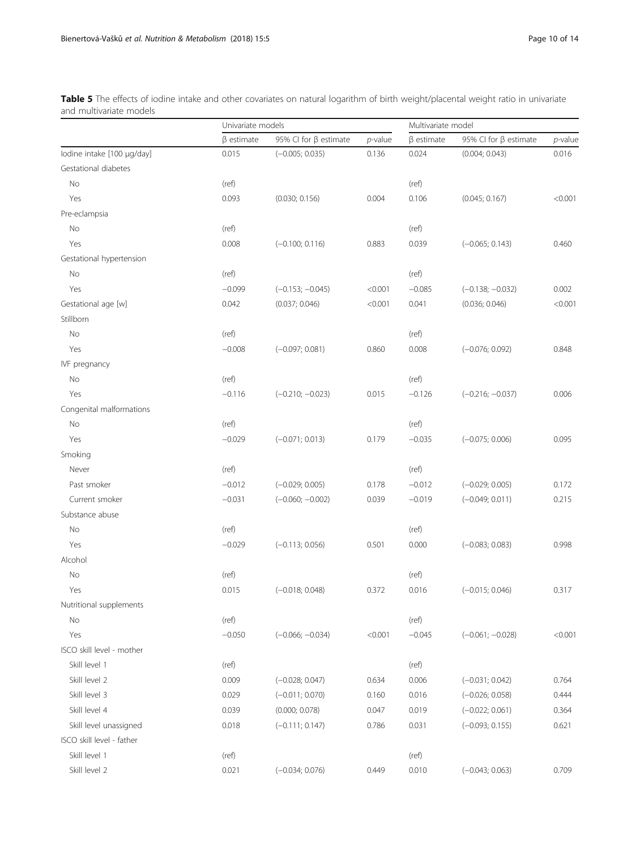<span id="page-9-0"></span>

| Table 5 The effects of iodine intake and other covariates on natural logarithm of birth weight/placental weight ratio in univariate |  |  |  |  |
|-------------------------------------------------------------------------------------------------------------------------------------|--|--|--|--|
| and multivariate models                                                                                                             |  |  |  |  |

| 95% CI for $\beta$ estimate<br>95% CI for $\beta$ estimate<br>$\beta$ estimate<br>$p$ -value<br>$\beta$ estimate<br>$p$ -value<br>lodine intake [100 µg/day]<br>0.015<br>$(-0.005; 0.035)$<br>0.016<br>0.136<br>0.024<br>(0.004; 0.043)<br>Gestational diabetes<br>No<br>(ref)<br>(ref)<br>Yes<br>0.093<br>(0.030; 0.156)<br>0.004<br>0.106<br>(0.045; 0.167)<br>< 0.001<br>Pre-eclampsia<br>(ref)<br>No<br>(ref)<br>Yes<br>0.008<br>$(-0.100; 0.116)$<br>0.883<br>0.039<br>$(-0.065; 0.143)$<br>0.460<br>Gestational hypertension<br>(ref)<br>No<br>(ref)<br>< 0.001<br>$-0.085$<br>0.002<br>Yes<br>$-0.099$<br>$(-0.153; -0.045)$<br>$(-0.138; -0.032)$<br>0.042<br>(0.037; 0.046)<br>< 0.001<br>0.041<br>(0.036; 0.046)<br>< 0.001<br>Gestational age [w]<br>Stillborn<br><b>No</b><br>(ref)<br>(ref)<br>Yes<br>$-0.008$<br>$(-0.097; 0.081)$<br>0.860<br>0.008<br>$(-0.076; 0.092)$<br>0.848<br>IVF pregnancy<br>(ref)<br>No<br>(ref)<br>Yes<br>0.015<br>$-0.126$<br>0.006<br>$-0.116$<br>$(-0.210; -0.023)$<br>$(-0.216; -0.037)$<br>Congenital malformations<br>No<br>(ref)<br>(ref)<br>Yes<br>$-0.029$<br>$(-0.071; 0.013)$<br>0.179<br>$-0.035$<br>$(-0.075; 0.006)$<br>0.095<br>Smoking<br>(ref)<br>Never<br>(ref)<br>Past smoker<br>$-0.012$<br>0.178<br>$-0.012$<br>0.172<br>$(-0.029; 0.005)$<br>$(-0.029; 0.005)$<br>Current smoker<br>$-0.031$<br>$(-0.060; -0.002)$<br>0.039<br>$-0.019$<br>$(-0.049; 0.011)$<br>0.215<br>Substance abuse<br>(ref)<br>No<br>(ref)<br>Yes<br>$(-0.113; 0.056)$<br>0.501<br>0.000<br>$(-0.083; 0.083)$<br>0.998<br>$-0.029$<br>Alcohol<br>No<br>(ref)<br>(ref)<br>Yes<br>0.015<br>$(-0.018; 0.048)$<br>0.372<br>0.016<br>$(-0.015; 0.046)$<br>0.317<br>Nutritional supplements<br>(ref)<br>(ref)<br>No<br>Yes<br>$-0.050$<br>$(-0.066; -0.034)$<br>< 0.001<br>$-0.045$<br>$(-0.061; -0.028)$<br>< 0.001<br>ISCO skill level - mother<br>Skill level 1<br>(ref)<br>(ref)<br>Skill level 2<br>0.009<br>$(-0.028; 0.047)$<br>0.634<br>0.006<br>$(-0.031; 0.042)$<br>0.764<br>Skill level 3<br>0.029<br>$(-0.011; 0.070)$<br>0.016<br>$(-0.026; 0.058)$<br>0.444<br>0.160<br>Skill level 4<br>0.039<br>(0.000; 0.078)<br>0.047<br>0.019<br>0.364<br>$(-0.022; 0.061)$<br>Skill level unassigned<br>0.018<br>$(-0.111; 0.147)$<br>0.786<br>0.031<br>$(-0.093; 0.155)$<br>0.621<br>ISCO skill level - father<br>Skill level 1<br>(ref)<br>(ref)<br>Skill level 2<br>0.021<br>$(-0.034; 0.076)$<br>0.449<br>0.010<br>$(-0.043; 0.063)$<br>0.709 | Univariate models |  | Multivariate model |  |  |
|---------------------------------------------------------------------------------------------------------------------------------------------------------------------------------------------------------------------------------------------------------------------------------------------------------------------------------------------------------------------------------------------------------------------------------------------------------------------------------------------------------------------------------------------------------------------------------------------------------------------------------------------------------------------------------------------------------------------------------------------------------------------------------------------------------------------------------------------------------------------------------------------------------------------------------------------------------------------------------------------------------------------------------------------------------------------------------------------------------------------------------------------------------------------------------------------------------------------------------------------------------------------------------------------------------------------------------------------------------------------------------------------------------------------------------------------------------------------------------------------------------------------------------------------------------------------------------------------------------------------------------------------------------------------------------------------------------------------------------------------------------------------------------------------------------------------------------------------------------------------------------------------------------------------------------------------------------------------------------------------------------------------------------------------------------------------------------------------------------------------------------------------------------------------------------------------------------------------------------------------------------------------------------------------------------------------------------------------------------------------------------------------------------------------------------------------------------------------------------------|-------------------|--|--------------------|--|--|
|                                                                                                                                                                                                                                                                                                                                                                                                                                                                                                                                                                                                                                                                                                                                                                                                                                                                                                                                                                                                                                                                                                                                                                                                                                                                                                                                                                                                                                                                                                                                                                                                                                                                                                                                                                                                                                                                                                                                                                                                                                                                                                                                                                                                                                                                                                                                                                                                                                                                                       |                   |  |                    |  |  |
|                                                                                                                                                                                                                                                                                                                                                                                                                                                                                                                                                                                                                                                                                                                                                                                                                                                                                                                                                                                                                                                                                                                                                                                                                                                                                                                                                                                                                                                                                                                                                                                                                                                                                                                                                                                                                                                                                                                                                                                                                                                                                                                                                                                                                                                                                                                                                                                                                                                                                       |                   |  |                    |  |  |
|                                                                                                                                                                                                                                                                                                                                                                                                                                                                                                                                                                                                                                                                                                                                                                                                                                                                                                                                                                                                                                                                                                                                                                                                                                                                                                                                                                                                                                                                                                                                                                                                                                                                                                                                                                                                                                                                                                                                                                                                                                                                                                                                                                                                                                                                                                                                                                                                                                                                                       |                   |  |                    |  |  |
|                                                                                                                                                                                                                                                                                                                                                                                                                                                                                                                                                                                                                                                                                                                                                                                                                                                                                                                                                                                                                                                                                                                                                                                                                                                                                                                                                                                                                                                                                                                                                                                                                                                                                                                                                                                                                                                                                                                                                                                                                                                                                                                                                                                                                                                                                                                                                                                                                                                                                       |                   |  |                    |  |  |
|                                                                                                                                                                                                                                                                                                                                                                                                                                                                                                                                                                                                                                                                                                                                                                                                                                                                                                                                                                                                                                                                                                                                                                                                                                                                                                                                                                                                                                                                                                                                                                                                                                                                                                                                                                                                                                                                                                                                                                                                                                                                                                                                                                                                                                                                                                                                                                                                                                                                                       |                   |  |                    |  |  |
|                                                                                                                                                                                                                                                                                                                                                                                                                                                                                                                                                                                                                                                                                                                                                                                                                                                                                                                                                                                                                                                                                                                                                                                                                                                                                                                                                                                                                                                                                                                                                                                                                                                                                                                                                                                                                                                                                                                                                                                                                                                                                                                                                                                                                                                                                                                                                                                                                                                                                       |                   |  |                    |  |  |
|                                                                                                                                                                                                                                                                                                                                                                                                                                                                                                                                                                                                                                                                                                                                                                                                                                                                                                                                                                                                                                                                                                                                                                                                                                                                                                                                                                                                                                                                                                                                                                                                                                                                                                                                                                                                                                                                                                                                                                                                                                                                                                                                                                                                                                                                                                                                                                                                                                                                                       |                   |  |                    |  |  |
|                                                                                                                                                                                                                                                                                                                                                                                                                                                                                                                                                                                                                                                                                                                                                                                                                                                                                                                                                                                                                                                                                                                                                                                                                                                                                                                                                                                                                                                                                                                                                                                                                                                                                                                                                                                                                                                                                                                                                                                                                                                                                                                                                                                                                                                                                                                                                                                                                                                                                       |                   |  |                    |  |  |
|                                                                                                                                                                                                                                                                                                                                                                                                                                                                                                                                                                                                                                                                                                                                                                                                                                                                                                                                                                                                                                                                                                                                                                                                                                                                                                                                                                                                                                                                                                                                                                                                                                                                                                                                                                                                                                                                                                                                                                                                                                                                                                                                                                                                                                                                                                                                                                                                                                                                                       |                   |  |                    |  |  |
|                                                                                                                                                                                                                                                                                                                                                                                                                                                                                                                                                                                                                                                                                                                                                                                                                                                                                                                                                                                                                                                                                                                                                                                                                                                                                                                                                                                                                                                                                                                                                                                                                                                                                                                                                                                                                                                                                                                                                                                                                                                                                                                                                                                                                                                                                                                                                                                                                                                                                       |                   |  |                    |  |  |
|                                                                                                                                                                                                                                                                                                                                                                                                                                                                                                                                                                                                                                                                                                                                                                                                                                                                                                                                                                                                                                                                                                                                                                                                                                                                                                                                                                                                                                                                                                                                                                                                                                                                                                                                                                                                                                                                                                                                                                                                                                                                                                                                                                                                                                                                                                                                                                                                                                                                                       |                   |  |                    |  |  |
|                                                                                                                                                                                                                                                                                                                                                                                                                                                                                                                                                                                                                                                                                                                                                                                                                                                                                                                                                                                                                                                                                                                                                                                                                                                                                                                                                                                                                                                                                                                                                                                                                                                                                                                                                                                                                                                                                                                                                                                                                                                                                                                                                                                                                                                                                                                                                                                                                                                                                       |                   |  |                    |  |  |
|                                                                                                                                                                                                                                                                                                                                                                                                                                                                                                                                                                                                                                                                                                                                                                                                                                                                                                                                                                                                                                                                                                                                                                                                                                                                                                                                                                                                                                                                                                                                                                                                                                                                                                                                                                                                                                                                                                                                                                                                                                                                                                                                                                                                                                                                                                                                                                                                                                                                                       |                   |  |                    |  |  |
|                                                                                                                                                                                                                                                                                                                                                                                                                                                                                                                                                                                                                                                                                                                                                                                                                                                                                                                                                                                                                                                                                                                                                                                                                                                                                                                                                                                                                                                                                                                                                                                                                                                                                                                                                                                                                                                                                                                                                                                                                                                                                                                                                                                                                                                                                                                                                                                                                                                                                       |                   |  |                    |  |  |
|                                                                                                                                                                                                                                                                                                                                                                                                                                                                                                                                                                                                                                                                                                                                                                                                                                                                                                                                                                                                                                                                                                                                                                                                                                                                                                                                                                                                                                                                                                                                                                                                                                                                                                                                                                                                                                                                                                                                                                                                                                                                                                                                                                                                                                                                                                                                                                                                                                                                                       |                   |  |                    |  |  |
|                                                                                                                                                                                                                                                                                                                                                                                                                                                                                                                                                                                                                                                                                                                                                                                                                                                                                                                                                                                                                                                                                                                                                                                                                                                                                                                                                                                                                                                                                                                                                                                                                                                                                                                                                                                                                                                                                                                                                                                                                                                                                                                                                                                                                                                                                                                                                                                                                                                                                       |                   |  |                    |  |  |
|                                                                                                                                                                                                                                                                                                                                                                                                                                                                                                                                                                                                                                                                                                                                                                                                                                                                                                                                                                                                                                                                                                                                                                                                                                                                                                                                                                                                                                                                                                                                                                                                                                                                                                                                                                                                                                                                                                                                                                                                                                                                                                                                                                                                                                                                                                                                                                                                                                                                                       |                   |  |                    |  |  |
|                                                                                                                                                                                                                                                                                                                                                                                                                                                                                                                                                                                                                                                                                                                                                                                                                                                                                                                                                                                                                                                                                                                                                                                                                                                                                                                                                                                                                                                                                                                                                                                                                                                                                                                                                                                                                                                                                                                                                                                                                                                                                                                                                                                                                                                                                                                                                                                                                                                                                       |                   |  |                    |  |  |
|                                                                                                                                                                                                                                                                                                                                                                                                                                                                                                                                                                                                                                                                                                                                                                                                                                                                                                                                                                                                                                                                                                                                                                                                                                                                                                                                                                                                                                                                                                                                                                                                                                                                                                                                                                                                                                                                                                                                                                                                                                                                                                                                                                                                                                                                                                                                                                                                                                                                                       |                   |  |                    |  |  |
|                                                                                                                                                                                                                                                                                                                                                                                                                                                                                                                                                                                                                                                                                                                                                                                                                                                                                                                                                                                                                                                                                                                                                                                                                                                                                                                                                                                                                                                                                                                                                                                                                                                                                                                                                                                                                                                                                                                                                                                                                                                                                                                                                                                                                                                                                                                                                                                                                                                                                       |                   |  |                    |  |  |
|                                                                                                                                                                                                                                                                                                                                                                                                                                                                                                                                                                                                                                                                                                                                                                                                                                                                                                                                                                                                                                                                                                                                                                                                                                                                                                                                                                                                                                                                                                                                                                                                                                                                                                                                                                                                                                                                                                                                                                                                                                                                                                                                                                                                                                                                                                                                                                                                                                                                                       |                   |  |                    |  |  |
|                                                                                                                                                                                                                                                                                                                                                                                                                                                                                                                                                                                                                                                                                                                                                                                                                                                                                                                                                                                                                                                                                                                                                                                                                                                                                                                                                                                                                                                                                                                                                                                                                                                                                                                                                                                                                                                                                                                                                                                                                                                                                                                                                                                                                                                                                                                                                                                                                                                                                       |                   |  |                    |  |  |
|                                                                                                                                                                                                                                                                                                                                                                                                                                                                                                                                                                                                                                                                                                                                                                                                                                                                                                                                                                                                                                                                                                                                                                                                                                                                                                                                                                                                                                                                                                                                                                                                                                                                                                                                                                                                                                                                                                                                                                                                                                                                                                                                                                                                                                                                                                                                                                                                                                                                                       |                   |  |                    |  |  |
|                                                                                                                                                                                                                                                                                                                                                                                                                                                                                                                                                                                                                                                                                                                                                                                                                                                                                                                                                                                                                                                                                                                                                                                                                                                                                                                                                                                                                                                                                                                                                                                                                                                                                                                                                                                                                                                                                                                                                                                                                                                                                                                                                                                                                                                                                                                                                                                                                                                                                       |                   |  |                    |  |  |
|                                                                                                                                                                                                                                                                                                                                                                                                                                                                                                                                                                                                                                                                                                                                                                                                                                                                                                                                                                                                                                                                                                                                                                                                                                                                                                                                                                                                                                                                                                                                                                                                                                                                                                                                                                                                                                                                                                                                                                                                                                                                                                                                                                                                                                                                                                                                                                                                                                                                                       |                   |  |                    |  |  |
|                                                                                                                                                                                                                                                                                                                                                                                                                                                                                                                                                                                                                                                                                                                                                                                                                                                                                                                                                                                                                                                                                                                                                                                                                                                                                                                                                                                                                                                                                                                                                                                                                                                                                                                                                                                                                                                                                                                                                                                                                                                                                                                                                                                                                                                                                                                                                                                                                                                                                       |                   |  |                    |  |  |
|                                                                                                                                                                                                                                                                                                                                                                                                                                                                                                                                                                                                                                                                                                                                                                                                                                                                                                                                                                                                                                                                                                                                                                                                                                                                                                                                                                                                                                                                                                                                                                                                                                                                                                                                                                                                                                                                                                                                                                                                                                                                                                                                                                                                                                                                                                                                                                                                                                                                                       |                   |  |                    |  |  |
|                                                                                                                                                                                                                                                                                                                                                                                                                                                                                                                                                                                                                                                                                                                                                                                                                                                                                                                                                                                                                                                                                                                                                                                                                                                                                                                                                                                                                                                                                                                                                                                                                                                                                                                                                                                                                                                                                                                                                                                                                                                                                                                                                                                                                                                                                                                                                                                                                                                                                       |                   |  |                    |  |  |
|                                                                                                                                                                                                                                                                                                                                                                                                                                                                                                                                                                                                                                                                                                                                                                                                                                                                                                                                                                                                                                                                                                                                                                                                                                                                                                                                                                                                                                                                                                                                                                                                                                                                                                                                                                                                                                                                                                                                                                                                                                                                                                                                                                                                                                                                                                                                                                                                                                                                                       |                   |  |                    |  |  |
|                                                                                                                                                                                                                                                                                                                                                                                                                                                                                                                                                                                                                                                                                                                                                                                                                                                                                                                                                                                                                                                                                                                                                                                                                                                                                                                                                                                                                                                                                                                                                                                                                                                                                                                                                                                                                                                                                                                                                                                                                                                                                                                                                                                                                                                                                                                                                                                                                                                                                       |                   |  |                    |  |  |
|                                                                                                                                                                                                                                                                                                                                                                                                                                                                                                                                                                                                                                                                                                                                                                                                                                                                                                                                                                                                                                                                                                                                                                                                                                                                                                                                                                                                                                                                                                                                                                                                                                                                                                                                                                                                                                                                                                                                                                                                                                                                                                                                                                                                                                                                                                                                                                                                                                                                                       |                   |  |                    |  |  |
|                                                                                                                                                                                                                                                                                                                                                                                                                                                                                                                                                                                                                                                                                                                                                                                                                                                                                                                                                                                                                                                                                                                                                                                                                                                                                                                                                                                                                                                                                                                                                                                                                                                                                                                                                                                                                                                                                                                                                                                                                                                                                                                                                                                                                                                                                                                                                                                                                                                                                       |                   |  |                    |  |  |
|                                                                                                                                                                                                                                                                                                                                                                                                                                                                                                                                                                                                                                                                                                                                                                                                                                                                                                                                                                                                                                                                                                                                                                                                                                                                                                                                                                                                                                                                                                                                                                                                                                                                                                                                                                                                                                                                                                                                                                                                                                                                                                                                                                                                                                                                                                                                                                                                                                                                                       |                   |  |                    |  |  |
|                                                                                                                                                                                                                                                                                                                                                                                                                                                                                                                                                                                                                                                                                                                                                                                                                                                                                                                                                                                                                                                                                                                                                                                                                                                                                                                                                                                                                                                                                                                                                                                                                                                                                                                                                                                                                                                                                                                                                                                                                                                                                                                                                                                                                                                                                                                                                                                                                                                                                       |                   |  |                    |  |  |
|                                                                                                                                                                                                                                                                                                                                                                                                                                                                                                                                                                                                                                                                                                                                                                                                                                                                                                                                                                                                                                                                                                                                                                                                                                                                                                                                                                                                                                                                                                                                                                                                                                                                                                                                                                                                                                                                                                                                                                                                                                                                                                                                                                                                                                                                                                                                                                                                                                                                                       |                   |  |                    |  |  |
|                                                                                                                                                                                                                                                                                                                                                                                                                                                                                                                                                                                                                                                                                                                                                                                                                                                                                                                                                                                                                                                                                                                                                                                                                                                                                                                                                                                                                                                                                                                                                                                                                                                                                                                                                                                                                                                                                                                                                                                                                                                                                                                                                                                                                                                                                                                                                                                                                                                                                       |                   |  |                    |  |  |
|                                                                                                                                                                                                                                                                                                                                                                                                                                                                                                                                                                                                                                                                                                                                                                                                                                                                                                                                                                                                                                                                                                                                                                                                                                                                                                                                                                                                                                                                                                                                                                                                                                                                                                                                                                                                                                                                                                                                                                                                                                                                                                                                                                                                                                                                                                                                                                                                                                                                                       |                   |  |                    |  |  |
|                                                                                                                                                                                                                                                                                                                                                                                                                                                                                                                                                                                                                                                                                                                                                                                                                                                                                                                                                                                                                                                                                                                                                                                                                                                                                                                                                                                                                                                                                                                                                                                                                                                                                                                                                                                                                                                                                                                                                                                                                                                                                                                                                                                                                                                                                                                                                                                                                                                                                       |                   |  |                    |  |  |
|                                                                                                                                                                                                                                                                                                                                                                                                                                                                                                                                                                                                                                                                                                                                                                                                                                                                                                                                                                                                                                                                                                                                                                                                                                                                                                                                                                                                                                                                                                                                                                                                                                                                                                                                                                                                                                                                                                                                                                                                                                                                                                                                                                                                                                                                                                                                                                                                                                                                                       |                   |  |                    |  |  |
|                                                                                                                                                                                                                                                                                                                                                                                                                                                                                                                                                                                                                                                                                                                                                                                                                                                                                                                                                                                                                                                                                                                                                                                                                                                                                                                                                                                                                                                                                                                                                                                                                                                                                                                                                                                                                                                                                                                                                                                                                                                                                                                                                                                                                                                                                                                                                                                                                                                                                       |                   |  |                    |  |  |
|                                                                                                                                                                                                                                                                                                                                                                                                                                                                                                                                                                                                                                                                                                                                                                                                                                                                                                                                                                                                                                                                                                                                                                                                                                                                                                                                                                                                                                                                                                                                                                                                                                                                                                                                                                                                                                                                                                                                                                                                                                                                                                                                                                                                                                                                                                                                                                                                                                                                                       |                   |  |                    |  |  |
|                                                                                                                                                                                                                                                                                                                                                                                                                                                                                                                                                                                                                                                                                                                                                                                                                                                                                                                                                                                                                                                                                                                                                                                                                                                                                                                                                                                                                                                                                                                                                                                                                                                                                                                                                                                                                                                                                                                                                                                                                                                                                                                                                                                                                                                                                                                                                                                                                                                                                       |                   |  |                    |  |  |
|                                                                                                                                                                                                                                                                                                                                                                                                                                                                                                                                                                                                                                                                                                                                                                                                                                                                                                                                                                                                                                                                                                                                                                                                                                                                                                                                                                                                                                                                                                                                                                                                                                                                                                                                                                                                                                                                                                                                                                                                                                                                                                                                                                                                                                                                                                                                                                                                                                                                                       |                   |  |                    |  |  |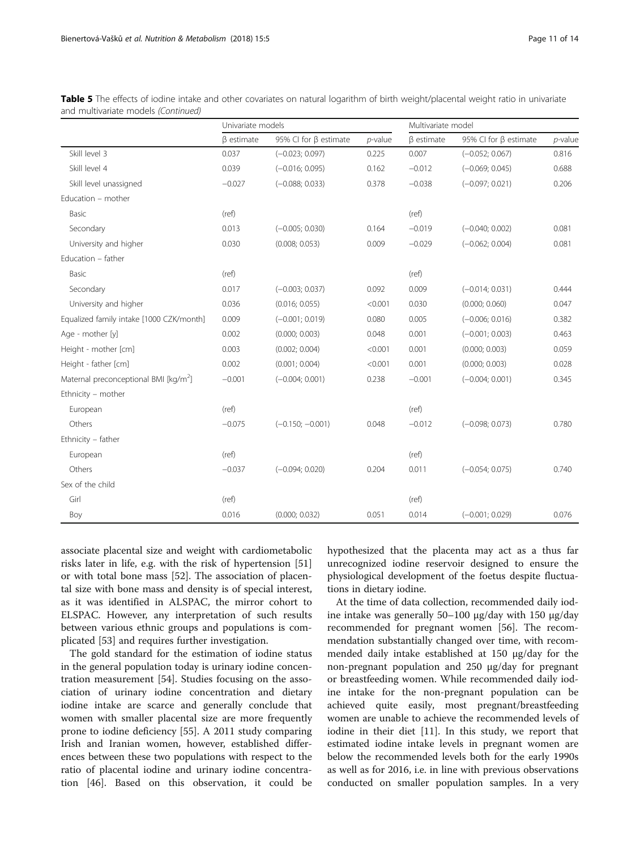|                                                   | Univariate models |                             |            | Multivariate model |                       |            |  |
|---------------------------------------------------|-------------------|-----------------------------|------------|--------------------|-----------------------|------------|--|
|                                                   | B estimate        | 95% CI for $\beta$ estimate | $p$ -value | $\beta$ estimate   | 95% CI for ß estimate | $p$ -value |  |
| Skill level 3                                     | 0.037             | $(-0.023; 0.097)$           | 0.225      | 0.007              | $(-0.052; 0.067)$     | 0.816      |  |
| Skill level 4                                     | 0.039             | $(-0.016; 0.095)$           | 0.162      | $-0.012$           | $(-0.069; 0.045)$     | 0.688      |  |
| Skill level unassigned                            | $-0.027$          | $(-0.088; 0.033)$           | 0.378      | $-0.038$           | $(-0.097; 0.021)$     | 0.206      |  |
| Education - mother                                |                   |                             |            |                    |                       |            |  |
| Basic                                             | (ref)             |                             |            | (ref)              |                       |            |  |
| Secondary                                         | 0.013             | $(-0.005; 0.030)$           | 0.164      | $-0.019$           | $(-0.040; 0.002)$     | 0.081      |  |
| University and higher                             | 0.030             | (0.008; 0.053)              | 0.009      | $-0.029$           | $(-0.062; 0.004)$     | 0.081      |  |
| Education - father                                |                   |                             |            |                    |                       |            |  |
| Basic                                             | (ref)             |                             |            | (ref)              |                       |            |  |
| Secondary                                         | 0.017             | $(-0.003; 0.037)$           | 0.092      | 0.009              | $(-0.014; 0.031)$     | 0.444      |  |
| University and higher                             | 0.036             | (0.016; 0.055)              | < 0.001    | 0.030              | (0.000; 0.060)        | 0.047      |  |
| Equalized family intake [1000 CZK/month]          | 0.009             | $(-0.001; 0.019)$           | 0.080      | 0.005              | $(-0.006; 0.016)$     | 0.382      |  |
| Age - mother [y]                                  | 0.002             | (0.000; 0.003)              | 0.048      | 0.001              | $(-0.001; 0.003)$     | 0.463      |  |
| Height - mother [cm]                              | 0.003             | (0.002; 0.004)              | < 0.001    | 0.001              | (0.000; 0.003)        | 0.059      |  |
| Height - father [cm]                              | 0.002             | (0.001; 0.004)              | < 0.001    | 0.001              | (0.000; 0.003)        | 0.028      |  |
| Maternal preconceptional BMI [kg/m <sup>2</sup> ] | $-0.001$          | $(-0.004; 0.001)$           | 0.238      | $-0.001$           | $(-0.004; 0.001)$     | 0.345      |  |
| Ethnicity - mother                                |                   |                             |            |                    |                       |            |  |
| European                                          | (ref)             |                             |            | (ref)              |                       |            |  |
| Others                                            | $-0.075$          | $(-0.150; -0.001)$          | 0.048      | $-0.012$           | $(-0.098; 0.073)$     | 0.780      |  |
| Ethnicity - father                                |                   |                             |            |                    |                       |            |  |
| European                                          | (ref)             |                             |            | (ref)              |                       |            |  |
| Others                                            | $-0.037$          | $(-0.094; 0.020)$           | 0.204      | 0.011              | $(-0.054; 0.075)$     | 0.740      |  |
| Sex of the child                                  |                   |                             |            |                    |                       |            |  |
| Girl                                              | (ref)             |                             |            | (ref)              |                       |            |  |
| Boy                                               | 0.016             | (0.000; 0.032)              | 0.051      | 0.014              | $(-0.001; 0.029)$     | 0.076      |  |

Table 5 The effects of iodine intake and other covariates on natural logarithm of birth weight/placental weight ratio in univariate and multivariate models (Continued)

associate placental size and weight with cardiometabolic risks later in life, e.g. with the risk of hypertension [[51](#page-13-0)] or with total bone mass [[52](#page-13-0)]. The association of placental size with bone mass and density is of special interest, as it was identified in ALSPAC, the mirror cohort to ELSPAC. However, any interpretation of such results between various ethnic groups and populations is complicated [[53\]](#page-13-0) and requires further investigation.

The gold standard for the estimation of iodine status in the general population today is urinary iodine concentration measurement [[54\]](#page-13-0). Studies focusing on the association of urinary iodine concentration and dietary iodine intake are scarce and generally conclude that women with smaller placental size are more frequently prone to iodine deficiency [[55](#page-13-0)]. A 2011 study comparing Irish and Iranian women, however, established differences between these two populations with respect to the ratio of placental iodine and urinary iodine concentration [[46\]](#page-13-0). Based on this observation, it could be hypothesized that the placenta may act as a thus far unrecognized iodine reservoir designed to ensure the physiological development of the foetus despite fluctuations in dietary iodine.

At the time of data collection, recommended daily iodine intake was generally 50–100 μg/day with 150 μg/day recommended for pregnant women [[56\]](#page-13-0). The recommendation substantially changed over time, with recommended daily intake established at 150 μg/day for the non-pregnant population and 250 μg/day for pregnant or breastfeeding women. While recommended daily iodine intake for the non-pregnant population can be achieved quite easily, most pregnant/breastfeeding women are unable to achieve the recommended levels of iodine in their diet [[11\]](#page-12-0). In this study, we report that estimated iodine intake levels in pregnant women are below the recommended levels both for the early 1990s as well as for 2016, i.e. in line with previous observations conducted on smaller population samples. In a very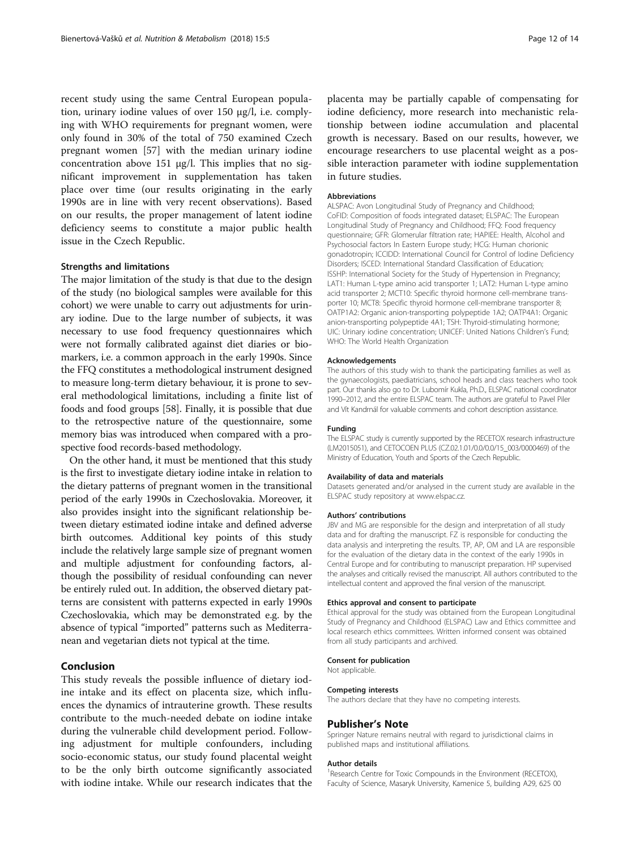recent study using the same Central European population, urinary iodine values of over 150 μg/l, i.e. complying with WHO requirements for pregnant women, were only found in 30% of the total of 750 examined Czech pregnant women [\[57](#page-13-0)] with the median urinary iodine concentration above 151 μg/l. This implies that no significant improvement in supplementation has taken place over time (our results originating in the early 1990s are in line with very recent observations). Based on our results, the proper management of latent iodine deficiency seems to constitute a major public health issue in the Czech Republic.

#### Strengths and limitations

The major limitation of the study is that due to the design of the study (no biological samples were available for this cohort) we were unable to carry out adjustments for urinary iodine. Due to the large number of subjects, it was necessary to use food frequency questionnaires which were not formally calibrated against diet diaries or biomarkers, i.e. a common approach in the early 1990s. Since the FFQ constitutes a methodological instrument designed to measure long-term dietary behaviour, it is prone to several methodological limitations, including a finite list of foods and food groups [\[58\]](#page-13-0). Finally, it is possible that due to the retrospective nature of the questionnaire, some memory bias was introduced when compared with a prospective food records-based methodology.

On the other hand, it must be mentioned that this study is the first to investigate dietary iodine intake in relation to the dietary patterns of pregnant women in the transitional period of the early 1990s in Czechoslovakia. Moreover, it also provides insight into the significant relationship between dietary estimated iodine intake and defined adverse birth outcomes. Additional key points of this study include the relatively large sample size of pregnant women and multiple adjustment for confounding factors, although the possibility of residual confounding can never be entirely ruled out. In addition, the observed dietary patterns are consistent with patterns expected in early 1990s Czechoslovakia, which may be demonstrated e.g. by the absence of typical "imported" patterns such as Mediterranean and vegetarian diets not typical at the time.

#### Conclusion

This study reveals the possible influence of dietary iodine intake and its effect on placenta size, which influences the dynamics of intrauterine growth. These results contribute to the much-needed debate on iodine intake during the vulnerable child development period. Following adjustment for multiple confounders, including socio-economic status, our study found placental weight to be the only birth outcome significantly associated with iodine intake. While our research indicates that the

placenta may be partially capable of compensating for iodine deficiency, more research into mechanistic relationship between iodine accumulation and placental growth is necessary. Based on our results, however, we encourage researchers to use placental weight as a possible interaction parameter with iodine supplementation in future studies.

#### Abbreviations

ALSPAC: Avon Longitudinal Study of Pregnancy and Childhood; CoFID: Composition of foods integrated dataset; ELSPAC: The European Longitudinal Study of Pregnancy and Childhood; FFQ: Food frequency questionnaire; GFR: Glomerular filtration rate; HAPIEE: Health, Alcohol and Psychosocial factors In Eastern Europe study; HCG: Human chorionic gonadotropin; ICCIDD: International Council for Control of Iodine Deficiency Disorders; ISCED: International Standard Classification of Education; ISSHP: International Society for the Study of Hypertension in Pregnancy; LAT1: Human L-type amino acid transporter 1; LAT2: Human L-type amino acid transporter 2; MCT10: Specific thyroid hormone cell-membrane transporter 10; MCT8: Specific thyroid hormone cell-membrane transporter 8; OATP1A2: Organic anion-transporting polypeptide 1A2; OATP4A1: Organic anion-transporting polypeptide 4A1; TSH: Thyroid-stimulating hormone; UIC: Urinary iodine concentration; UNICEF: United Nations Children's Fund; WHO: The World Health Organization

#### Acknowledgements

The authors of this study wish to thank the participating families as well as the gynaecologists, paediatricians, school heads and class teachers who took part. Our thanks also go to Dr. Lubomír Kukla, Ph.D., ELSPAC national coordinator 1990–2012, and the entire ELSPAC team. The authors are grateful to Pavel Piler and Vít Kandrnál for valuable comments and cohort description assistance.

#### Funding

The ELSPAC study is currently supported by the RECETOX research infrastructure (LM2015051), and CETOCOEN PLUS (CZ.02.1.01/0.0/0.0/15\_003/0000469) of the Ministry of Education, Youth and Sports of the Czech Republic.

#### Availability of data and materials

Datasets generated and/or analysed in the current study are available in the ELSPAC study repository at [www.elspac.cz.](http://www.elspac.cz)

#### Authors' contributions

JBV and MG are responsible for the design and interpretation of all study data and for drafting the manuscript. FZ is responsible for conducting the data analysis and interpreting the results. TP, AP, OM and LA are responsible for the evaluation of the dietary data in the context of the early 1990s in Central Europe and for contributing to manuscript preparation. HP supervised the analyses and critically revised the manuscript. All authors contributed to the intellectual content and approved the final version of the manuscript.

#### Ethics approval and consent to participate

Ethical approval for the study was obtained from the European Longitudinal Study of Pregnancy and Childhood (ELSPAC) Law and Ethics committee and local research ethics committees. Written informed consent was obtained from all study participants and archived.

#### Consent for publication

Not applicable.

#### Competing interests

The authors declare that they have no competing interests.

#### Publisher's Note

Springer Nature remains neutral with regard to jurisdictional claims in published maps and institutional affiliations.

#### Author details

<sup>1</sup> Research Centre for Toxic Compounds in the Environment (RECETOX), Faculty of Science, Masaryk University, Kamenice 5, building A29, 625 00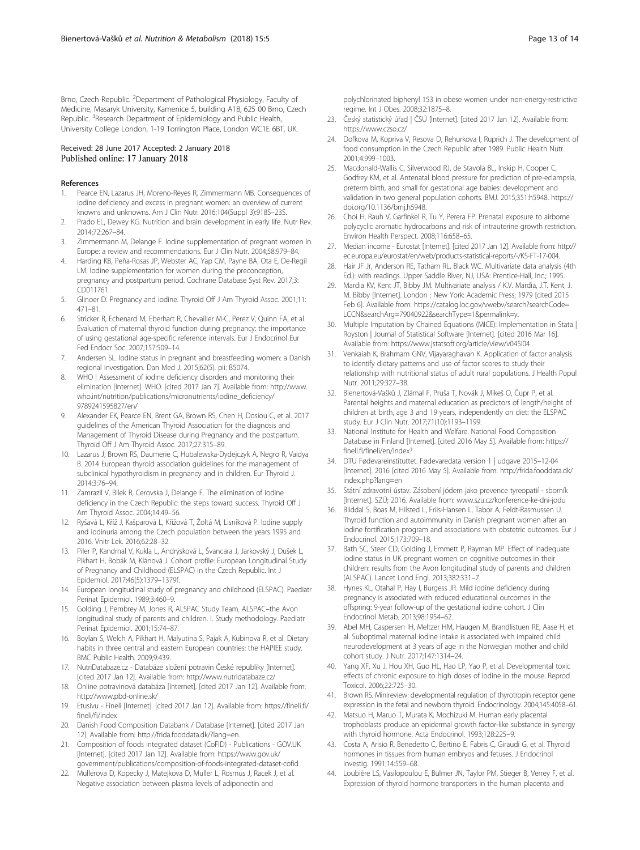<span id="page-12-0"></span>Brno, Czech Republic. <sup>2</sup>Department of Pathological Physiology, Faculty of Medicine, Masaryk University, Kamenice 5, building A18, 625 00 Brno, Czech Republic. <sup>3</sup>Research Department of Epidemiology and Public Health, University College London, 1-19 Torrington Place, London WC1E 6BT, UK.

#### Received: 28 June 2017 Accepted: 2 January 2018 Published online: 17 January 2018

#### References

- 1. Pearce EN, Lazarus JH, Moreno-Reyes R, Zimmermann MB. Consequences of iodine deficiency and excess in pregnant women: an overview of current knowns and unknowns. Am J Clin Nutr. 2016;104(Suppl 3):918S–23S.
- 2. Prado EL, Dewey KG. Nutrition and brain development in early life. Nutr Rev. 2014;72:267–84.
- 3. Zimmermann M, Delange F. Iodine supplementation of pregnant women in Europe: a review and recommendations. Eur J Clin Nutr. 2004;58:979–84.
- 4. Harding KB, Peña-Rosas JP, Webster AC, Yap CM, Payne BA, Ota E, De-Regil LM. Iodine supplementation for women during the preconception, pregnancy and postpartum period. Cochrane Database Syst Rev. 2017;3: CD011761.
- 5. Glinoer D. Pregnancy and iodine. Thyroid Off J Am Thyroid Assoc. 2001;11: 471–81.
- 6. Stricker R, Echenard M, Eberhart R, Chevailler M-C, Perez V, Quinn FA, et al. Evaluation of maternal thyroid function during pregnancy: the importance of using gestational age-specific reference intervals. Eur J Endocrinol Eur Fed Endocr Soc. 2007;157:509–14.
- 7. Andersen SL. Iodine status in pregnant and breastfeeding women: a Danish regional investigation. Dan Med J. 2015;62(5). pii: B5074.
- 8. WHO | Assessment of iodine deficiency disorders and monitoring their elimination [Internet]. WHO. [cited 2017 Jan 7]. Available from: [http://www.](http://www.who.int/nutrition/publications/micronutrients/iodine_deficiency/9789241595827/en/) [who.int/nutrition/publications/micronutrients/iodine\\_deficiency/](http://www.who.int/nutrition/publications/micronutrients/iodine_deficiency/9789241595827/en/) [9789241595827/en/](http://www.who.int/nutrition/publications/micronutrients/iodine_deficiency/9789241595827/en/)
- 9. Alexander EK, Pearce EN, Brent GA, Brown RS, Chen H, Dosiou C, et al. 2017 guidelines of the American Thyroid Association for the diagnosis and Management of Thyroid Disease during Pregnancy and the postpartum. Thyroid Off J Am Thyroid Assoc. 2017;27:315–89.
- 10. Lazarus J, Brown RS, Daumerie C, Hubalewska-Dydejczyk A, Negro R, Vaidya B. 2014 European thyroid association guidelines for the management of subclinical hypothyroidism in pregnancy and in children. Eur Thyroid J. 2014;3:76–94.
- 11. Zamrazil V, Bilek R, Cerovska J, Delange F. The elimination of iodine deficiency in the Czech Republic: the steps toward success. Thyroid Off J Am Thyroid Assoc. 2004;14:49–56.
- 12. Ryšavá L, Kříž J, Kašparová L, Křížová T, Žoltá M, Lisníková P. Iodine supply and iodinuria among the Czech population between the years 1995 and 2016. Vnitr Lek. 2016;62:28–32.
- 13. Piler P, Kandrnal V, Kukla L, Andrýsková L, Švancara J, Jarkovský J, Dušek L, Pikhart H, Bobák M, Klánová J. Cohort profile: European Longitudinal Study of Pregnancy and Childhood (ELSPAC) in the Czech Republic. Int J Epidemiol. 2017;46(5):1379–1379f.
- 14. European longitudinal study of pregnancy and childhood (ELSPAC). Paediatr Perinat Epidemiol. 1989;3:460–9.
- 15. Golding J, Pembrey M, Jones R, ALSPAC Study Team. ALSPAC–the Avon longitudinal study of parents and children. I. Study methodology. Paediatr Perinat Epidemiol. 2001;15:74–87.
- 16. Boylan S, Welch A, Pikhart H, Malyutina S, Pajak A, Kubinova R, et al. Dietary habits in three central and eastern European countries: the HAPIEE study. BMC Public Health. 2009;9:439.
- 17. NutriDatabaze.cz Databáze složení potravin České republiky [Internet]. [cited 2017 Jan 12]. Available from:<http://www.nutridatabaze.cz/>
- 18. Online potravinová databáza [Internet]. [cited 2017 Jan 12]. Available from: <http://www.pbd-online.sk/>
- 19. Etusivu Fineli [Internet]. [cited 2017 Jan 12]. Available from: [https://fineli.fi/](https://fineli.fi/fineli/fi/index) [fineli/fi/index](https://fineli.fi/fineli/fi/index)
- 20. Danish Food Composition Databank / Database [Internet]. [cited 2017 Jan 12]. Available from:<http://frida.fooddata.dk/?lang=en>.
- 21. Composition of foods integrated dataset (CoFID) Publications GOV.UK [Internet]. [cited 2017 Jan 12]. Available from: [https://www.gov.uk/](https://www.gov.uk/government/publications/composition-of-foods-integrated-dataset-cofid) [government/publications/composition-of-foods-integrated-dataset-cofid](https://www.gov.uk/government/publications/composition-of-foods-integrated-dataset-cofid)
- 22. Mullerova D, Kopecky J, Matejkova D, Muller L, Rosmus J, Racek J, et al. Negative association between plasma levels of adiponectin and

polychlorinated biphenyl 153 in obese women under non-energy-restrictive regime. Int J Obes. 2008;32:1875–8.

- 23. Český statistický úřad | ČSÚ [Internet]. [cited 2017 Jan 12]. Available from: <https://www.czso.cz/>
- 24. Dofkova M, Kopriva V, Resova D, Rehurkova I, Ruprich J. The development of food consumption in the Czech Republic after 1989. Public Health Nutr. 2001;4:999–1003.
- 25. Macdonald-Wallis C, Silverwood RJ, de Stavola BL, Inskip H, Cooper C, Godfrey KM, et al. Antenatal blood pressure for prediction of pre-eclampsia, preterm birth, and small for gestational age babies: development and validation in two general population cohorts. BMJ. 2015;351:h5948. [https://](http://dx.doi.org/10.1136/bmj.h5948) [doi.org/10.1136/bmj.h5948](http://dx.doi.org/10.1136/bmj.h5948).
- 26. Choi H, Rauh V, Garfinkel R, Tu Y, Perera FP. Prenatal exposure to airborne polycyclic aromatic hydrocarbons and risk of intrauterine growth restriction. Environ Health Perspect. 2008;116:658–65.
- 27. Median income Eurostat [Internet]. [cited 2017 Jan 12]. Available from: [http://](http://ec.europa.eu/eurostat/en/web/products-statistical-reports/-/KS-FT-17-004) [ec.europa.eu/eurostat/en/web/products-statistical-reports/-/KS-FT-17-004](http://ec.europa.eu/eurostat/en/web/products-statistical-reports/-/KS-FT-17-004).
- 28. Hair JF Jr, Anderson RE, Tatham RL, Black WC. Multivariate data analysis (4th Ed.): with readings. Upper Saddle River, NJ, USA: Prentice-Hall, Inc.; 1995.
- 29. Mardia KV, Kent JT, Bibby JM. Multivariate analysis / K.V. Mardia, J.T. Kent, J. M. Bibby [Internet]. London ; New York: Academic Press; 1979 [cited 2015 Feb 6]. Available from: [https://catalog.loc.gov/vwebv/search?searchCode=](https://catalog.loc.gov/vwebv/search?searchCode=LCCN&searchArg=79040922&searchType=1&permalink=y) [LCCN&searchArg=79040922&searchType=1&permalink=y.](https://catalog.loc.gov/vwebv/search?searchCode=LCCN&searchArg=79040922&searchType=1&permalink=y)
- 30. Multiple Imputation by Chained Equations (MICE): Implementation in Stata | Royston | Journal of Statistical Software [Internet]. [cited 2016 Mar 16]. Available from:<https://www.jstatsoft.org/article/view/v045i04>
- 31. Venkaiah K, Brahmam GNV, Vijayaraghavan K. Application of factor analysis to identify dietary patterns and use of factor scores to study their relationship with nutritional status of adult rural populations. J Health Popul Nutr. 2011;29:327–38.
- 32. Bienertová-Vašků J, Zlámal F, Pruša T, Novák J, Mikeš O, Čupr P, et al. Parental heights and maternal education as predictors of length/height of children at birth, age 3 and 19 years, independently on diet: the ELSPAC study. Eur J Clin Nutr. 2017;71(10):1193–1199.
- 33. National Institute for Health and Welfare. National Food Composition Database in Finland [Internet]. [cited 2016 May 5]. Available from: [https://](https://fineli.fi/fineli/en/index) [fineli.fi/fineli/en/index](https://fineli.fi/fineli/en/index)?
- 34. DTU Fødevareinstituttet. Fødevaredata version 1 | udgave 2015–12-04 [Internet]. 2016 [cited 2016 May 5]. Available from: [http://frida.fooddata.dk/](http://frida.fooddata.dk/index.php?lang=en) [index.php?lang=en](http://frida.fooddata.dk/index.php?lang=en)
- 35. Státní zdravotní ústav. Zásobení jódem jako prevence tyreopatií sborník [Internet]. SZÚ; 2016. Available from: [www.szu.cz/konference-ke-dni-jodu](http://www.szu.cz/konference-ke-dni-jodu)
- 36. Bliddal S, Boas M, Hilsted L, Friis-Hansen L, Tabor A, Feldt-Rasmussen U. Thyroid function and autoimmunity in Danish pregnant women after an iodine fortification program and associations with obstetric outcomes. Eur J Endocrinol. 2015;173:709–18.
- 37. Bath SC, Steer CD, Golding J, Emmett P, Rayman MP. Effect of inadequate iodine status in UK pregnant women on cognitive outcomes in their children: results from the Avon longitudinal study of parents and children (ALSPAC). Lancet Lond Engl. 2013;382:331–7.
- 38. Hynes KL, Otahal P, Hay I, Burgess JR. Mild iodine deficiency during pregnancy is associated with reduced educational outcomes in the offspring: 9-year follow-up of the gestational iodine cohort. J Clin Endocrinol Metab. 2013;98:1954–62.
- 39. Abel MH, Caspersen IH, Meltzer HM, Haugen M, Brandlistuen RE, Aase H, et al. Suboptimal maternal iodine intake is associated with impaired child neurodevelopment at 3 years of age in the Norwegian mother and child cohort study. J Nutr. 2017;147:1314–24.
- 40. Yang XF, Xu J, Hou XH, Guo HL, Hao LP, Yao P, et al. Developmental toxic effects of chronic exposure to high doses of iodine in the mouse. Reprod Toxicol. 2006;22:725–30.
- 41. Brown RS. Minireview: developmental regulation of thyrotropin receptor gene expression in the fetal and newborn thyroid. Endocrinology. 2004;145:4058–61.
- 42. Matsuo H, Maruo T, Murata K, Mochizuki M. Human early placental trophoblasts produce an epidermal growth factor-like substance in synergy with thyroid hormone. Acta Endocrinol. 1993;128:225–9.
- 43. Costa A, Arisio R, Benedetto C, Bertino E, Fabris C, Giraudi G, et al. Thyroid hormones in tissues from human embryos and fetuses. J Endocrinol Investig. 1991;14:559–68.
- 44. Loubière LS, Vasilopoulou E, Bulmer JN, Taylor PM, Stieger B, Verrey F, et al. Expression of thyroid hormone transporters in the human placenta and